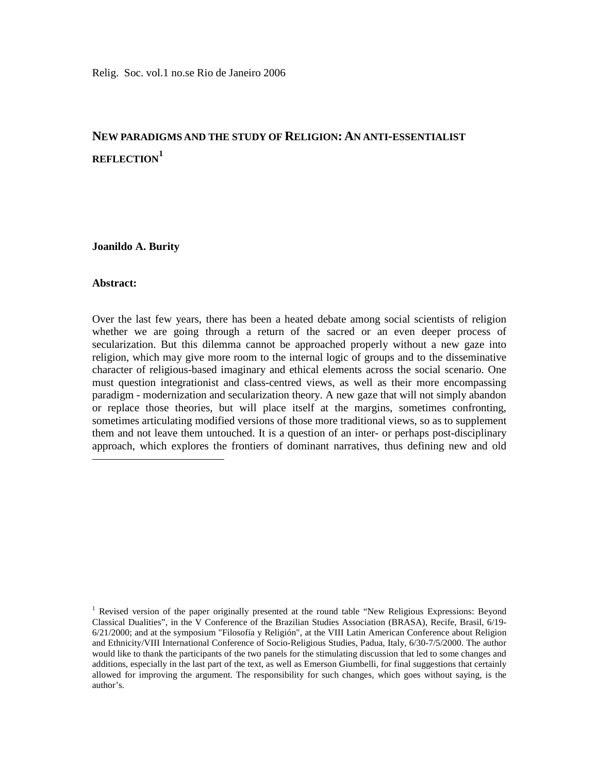# **NEW PARADIGMS AND THE STUDY OF RELIGION: AN ANTI-ESSENTIALIST REFLECTION<sup>1</sup>**

**Joanildo A. Burity** 

## **Abstract:**

-

Over the last few years, there has been a heated debate among social scientists of religion whether we are going through a return of the sacred or an even deeper process of secularization. But this dilemma cannot be approached properly without a new gaze into religion, which may give more room to the internal logic of groups and to the disseminative character of religious-based imaginary and ethical elements across the social scenario. One must question integrationist and class-centred views, as well as their more encompassing paradigm - modernization and secularization theory. A new gaze that will not simply abandon or replace those theories, but will place itself at the margins, sometimes confronting, sometimes articulating modified versions of those more traditional views, so as to supplement them and not leave them untouched. It is a question of an inter- or perhaps post-disciplinary approach, which explores the frontiers of dominant narratives, thus defining new and old

<sup>&</sup>lt;sup>1</sup> Revised version of the paper originally presented at the round table "New Religious Expressions: Beyond Classical Dualities", in the V Conference of the Brazilian Studies Association (BRASA), Recife, Brasil, 6/19- 6/21/2000; and at the symposium "Filosofía y Religión", at the VIII Latin American Conference about Religion and Ethnicity/VIII International Conference of Socio-Religious Studies, Padua, Italy, 6/30-7/5/2000. The author would like to thank the participants of the two panels for the stimulating discussion that led to some changes and additions, especially in the last part of the text, as well as Emerson Giumbelli, for final suggestions that certainly allowed for improving the argument. The responsibility for such changes, which goes without saying, is the author's.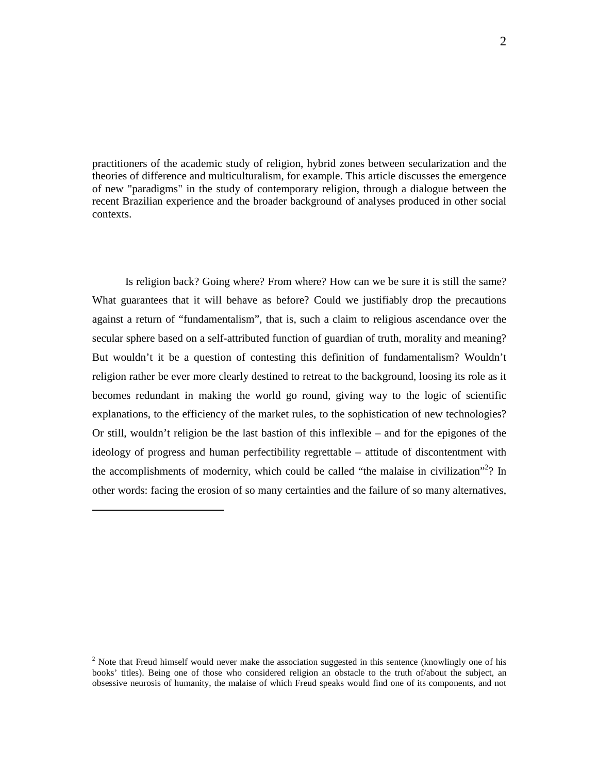practitioners of the academic study of religion, hybrid zones between secularization and the theories of difference and multiculturalism, for example. This article discusses the emergence of new "paradigms" in the study of contemporary religion, through a dialogue between the recent Brazilian experience and the broader background of analyses produced in other social contexts.

Is religion back? Going where? From where? How can we be sure it is still the same? What guarantees that it will behave as before? Could we justifiably drop the precautions against a return of "fundamentalism", that is, such a claim to religious ascendance over the secular sphere based on a self-attributed function of guardian of truth, morality and meaning? But wouldn't it be a question of contesting this definition of fundamentalism? Wouldn't religion rather be ever more clearly destined to retreat to the background, loosing its role as it becomes redundant in making the world go round, giving way to the logic of scientific explanations, to the efficiency of the market rules, to the sophistication of new technologies? Or still, wouldn't religion be the last bastion of this inflexible – and for the epigones of the ideology of progress and human perfectibility regrettable – attitude of discontentment with the accomplishments of modernity, which could be called "the malaise in civilization"<sup>2</sup>? In other words: facing the erosion of so many certainties and the failure of so many alternatives,

<sup>&</sup>lt;sup>2</sup> Note that Freud himself would never make the association suggested in this sentence (knowlingly one of his books' titles). Being one of those who considered religion an obstacle to the truth of/about the subject, an obsessive neurosis of humanity, the malaise of which Freud speaks would find one of its components, and not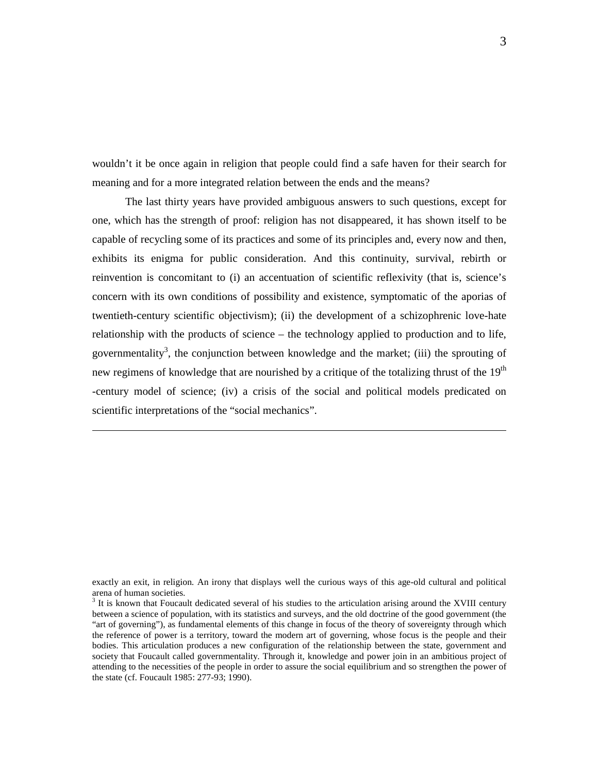wouldn't it be once again in religion that people could find a safe haven for their search for meaning and for a more integrated relation between the ends and the means?

The last thirty years have provided ambiguous answers to such questions, except for one, which has the strength of proof: religion has not disappeared, it has shown itself to be capable of recycling some of its practices and some of its principles and, every now and then, exhibits its enigma for public consideration. And this continuity, survival, rebirth or reinvention is concomitant to (i) an accentuation of scientific reflexivity (that is, science's concern with its own conditions of possibility and existence, symptomatic of the aporias of twentieth-century scientific objectivism); (ii) the development of a schizophrenic love-hate relationship with the products of science – the technology applied to production and to life, governmentality<sup>3</sup>, the conjunction between knowledge and the market; (iii) the sprouting of new regimens of knowledge that are nourished by a critique of the totalizing thrust of the 19<sup>th</sup> -century model of science; (iv) a crisis of the social and political models predicated on scientific interpretations of the "social mechanics".

exactly an exit, in religion. An irony that displays well the curious ways of this age-old cultural and political arena of human societies.

 $3$  It is known that Foucault dedicated several of his studies to the articulation arising around the XVIII century between a science of population, with its statistics and surveys, and the old doctrine of the good government (the "art of governing"), as fundamental elements of this change in focus of the theory of sovereignty through which the reference of power is a territory, toward the modern art of governing, whose focus is the people and their bodies. This articulation produces a new configuration of the relationship between the state, government and society that Foucault called governmentality. Through it, knowledge and power join in an ambitious project of attending to the necessities of the people in order to assure the social equilibrium and so strengthen the power of the state (cf. Foucault 1985: 277-93; 1990).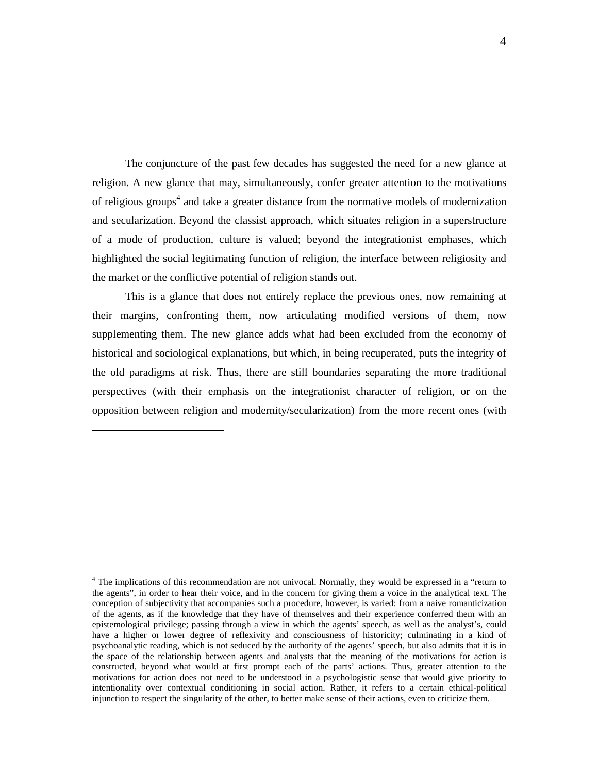The conjuncture of the past few decades has suggested the need for a new glance at religion. A new glance that may, simultaneously, confer greater attention to the motivations of religious groups<sup>4</sup> and take a greater distance from the normative models of modernization and secularization. Beyond the classist approach, which situates religion in a superstructure of a mode of production, culture is valued; beyond the integrationist emphases, which highlighted the social legitimating function of religion, the interface between religiosity and the market or the conflictive potential of religion stands out.

This is a glance that does not entirely replace the previous ones, now remaining at their margins, confronting them, now articulating modified versions of them, now supplementing them. The new glance adds what had been excluded from the economy of historical and sociological explanations, but which, in being recuperated, puts the integrity of the old paradigms at risk. Thus, there are still boundaries separating the more traditional perspectives (with their emphasis on the integrationist character of religion, or on the opposition between religion and modernity/secularization) from the more recent ones (with

<sup>&</sup>lt;sup>4</sup> The implications of this recommendation are not univocal. Normally, they would be expressed in a "return to the agents", in order to hear their voice, and in the concern for giving them a voice in the analytical text. The conception of subjectivity that accompanies such a procedure, however, is varied: from a naive romanticization of the agents, as if the knowledge that they have of themselves and their experience conferred them with an epistemological privilege; passing through a view in which the agents' speech, as well as the analyst's, could have a higher or lower degree of reflexivity and consciousness of historicity; culminating in a kind of psychoanalytic reading, which is not seduced by the authority of the agents' speech, but also admits that it is in the space of the relationship between agents and analysts that the meaning of the motivations for action is constructed, beyond what would at first prompt each of the parts' actions. Thus, greater attention to the motivations for action does not need to be understood in a psychologistic sense that would give priority to intentionality over contextual conditioning in social action. Rather, it refers to a certain ethical-political injunction to respect the singularity of the other, to better make sense of their actions, even to criticize them.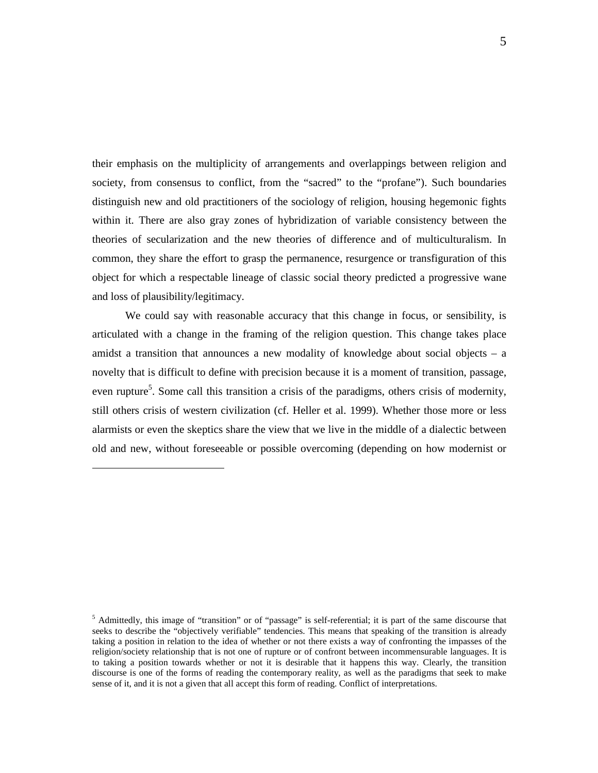their emphasis on the multiplicity of arrangements and overlappings between religion and society, from consensus to conflict, from the "sacred" to the "profane"). Such boundaries distinguish new and old practitioners of the sociology of religion, housing hegemonic fights within it. There are also gray zones of hybridization of variable consistency between the theories of secularization and the new theories of difference and of multiculturalism. In common, they share the effort to grasp the permanence, resurgence or transfiguration of this object for which a respectable lineage of classic social theory predicted a progressive wane and loss of plausibility/legitimacy.

We could say with reasonable accuracy that this change in focus, or sensibility, is articulated with a change in the framing of the religion question. This change takes place amidst a transition that announces a new modality of knowledge about social objects – a novelty that is difficult to define with precision because it is a moment of transition, passage, even rupture<sup>5</sup>. Some call this transition a crisis of the paradigms, others crisis of modernity, still others crisis of western civilization (cf. Heller et al. 1999). Whether those more or less alarmists or even the skeptics share the view that we live in the middle of a dialectic between old and new, without foreseeable or possible overcoming (depending on how modernist or

<sup>&</sup>lt;sup>5</sup> Admittedly, this image of "transition" or of "passage" is self-referential; it is part of the same discourse that seeks to describe the "objectively verifiable" tendencies. This means that speaking of the transition is already taking a position in relation to the idea of whether or not there exists a way of confronting the impasses of the religion/society relationship that is not one of rupture or of confront between incommensurable languages. It is to taking a position towards whether or not it is desirable that it happens this way. Clearly, the transition discourse is one of the forms of reading the contemporary reality, as well as the paradigms that seek to make sense of it, and it is not a given that all accept this form of reading. Conflict of interpretations.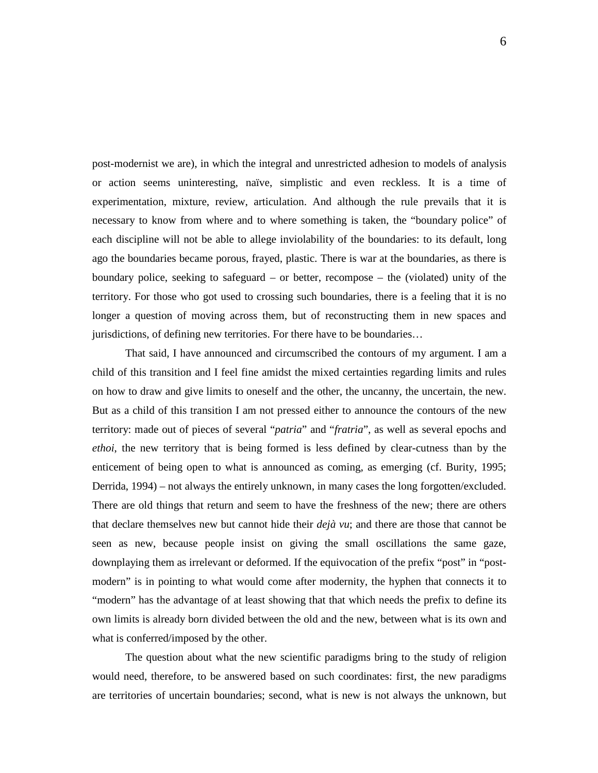post-modernist we are), in which the integral and unrestricted adhesion to models of analysis or action seems uninteresting, naïve, simplistic and even reckless. It is a time of experimentation, mixture, review, articulation. And although the rule prevails that it is necessary to know from where and to where something is taken, the "boundary police" of each discipline will not be able to allege inviolability of the boundaries: to its default, long ago the boundaries became porous, frayed, plastic. There is war at the boundaries, as there is boundary police, seeking to safeguard – or better, recompose – the (violated) unity of the territory. For those who got used to crossing such boundaries, there is a feeling that it is no longer a question of moving across them, but of reconstructing them in new spaces and jurisdictions, of defining new territories. For there have to be boundaries…

That said, I have announced and circumscribed the contours of my argument. I am a child of this transition and I feel fine amidst the mixed certainties regarding limits and rules on how to draw and give limits to oneself and the other, the uncanny, the uncertain, the new. But as a child of this transition I am not pressed either to announce the contours of the new territory: made out of pieces of several "*patria*" and "*fratria*", as well as several epochs and *ethoi*, the new territory that is being formed is less defined by clear-cutness than by the enticement of being open to what is announced as coming, as emerging (cf. Burity, 1995; Derrida, 1994) – not always the entirely unknown, in many cases the long forgotten/excluded. There are old things that return and seem to have the freshness of the new; there are others that declare themselves new but cannot hide their *dejà vu*; and there are those that cannot be seen as new, because people insist on giving the small oscillations the same gaze, downplaying them as irrelevant or deformed. If the equivocation of the prefix "post" in "postmodern" is in pointing to what would come after modernity, the hyphen that connects it to "modern" has the advantage of at least showing that that which needs the prefix to define its own limits is already born divided between the old and the new, between what is its own and what is conferred/imposed by the other.

The question about what the new scientific paradigms bring to the study of religion would need, therefore, to be answered based on such coordinates: first, the new paradigms are territories of uncertain boundaries; second, what is new is not always the unknown, but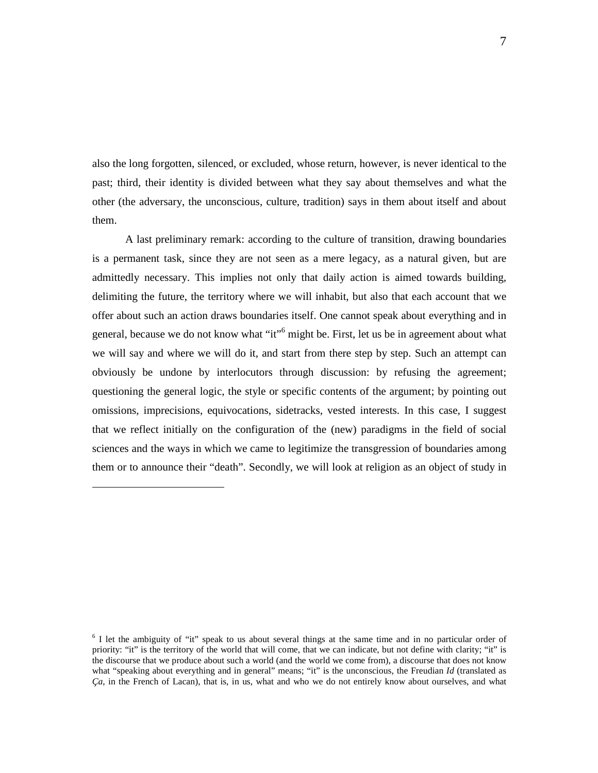also the long forgotten, silenced, or excluded, whose return, however, is never identical to the past; third, their identity is divided between what they say about themselves and what the other (the adversary, the unconscious, culture, tradition) says in them about itself and about them.

A last preliminary remark: according to the culture of transition, drawing boundaries is a permanent task, since they are not seen as a mere legacy, as a natural given, but are admittedly necessary. This implies not only that daily action is aimed towards building, delimiting the future, the territory where we will inhabit, but also that each account that we offer about such an action draws boundaries itself. One cannot speak about everything and in general, because we do not know what "it"<sup>6</sup> might be. First, let us be in agreement about what we will say and where we will do it, and start from there step by step. Such an attempt can obviously be undone by interlocutors through discussion: by refusing the agreement; questioning the general logic, the style or specific contents of the argument; by pointing out omissions, imprecisions, equivocations, sidetracks, vested interests. In this case, I suggest that we reflect initially on the configuration of the (new) paradigms in the field of social sciences and the ways in which we came to legitimize the transgression of boundaries among them or to announce their "death". Secondly, we will look at religion as an object of study in

<sup>&</sup>lt;sup>6</sup> I let the ambiguity of "it" speak to us about several things at the same time and in no particular order of priority: "it" is the territory of the world that will come, that we can indicate, but not define with clarity; "it" is the discourse that we produce about such a world (and the world we come from), a discourse that does not know what "speaking about everything and in general" means; "it" is the unconscious, the Freudian *Id* (translated as *Ça*, in the French of Lacan), that is, in us, what and who we do not entirely know about ourselves, and what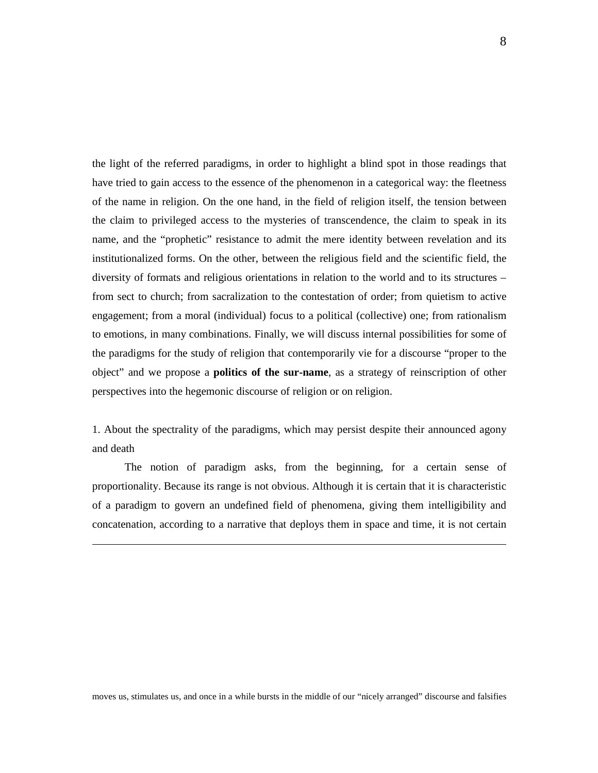the light of the referred paradigms, in order to highlight a blind spot in those readings that have tried to gain access to the essence of the phenomenon in a categorical way: the fleetness of the name in religion. On the one hand, in the field of religion itself, the tension between the claim to privileged access to the mysteries of transcendence, the claim to speak in its name, and the "prophetic" resistance to admit the mere identity between revelation and its institutionalized forms. On the other, between the religious field and the scientific field, the diversity of formats and religious orientations in relation to the world and to its structures – from sect to church; from sacralization to the contestation of order; from quietism to active engagement; from a moral (individual) focus to a political (collective) one; from rationalism to emotions, in many combinations. Finally, we will discuss internal possibilities for some of the paradigms for the study of religion that contemporarily vie for a discourse "proper to the object" and we propose a **politics of the sur-name**, as a strategy of reinscription of other perspectives into the hegemonic discourse of religion or on religion.

1. About the spectrality of the paradigms, which may persist despite their announced agony and death

 The notion of paradigm asks, from the beginning, for a certain sense of proportionality. Because its range is not obvious. Although it is certain that it is characteristic of a paradigm to govern an undefined field of phenomena, giving them intelligibility and concatenation, according to a narrative that deploys them in space and time, it is not certain

-

moves us, stimulates us, and once in a while bursts in the middle of our "nicely arranged" discourse and falsifies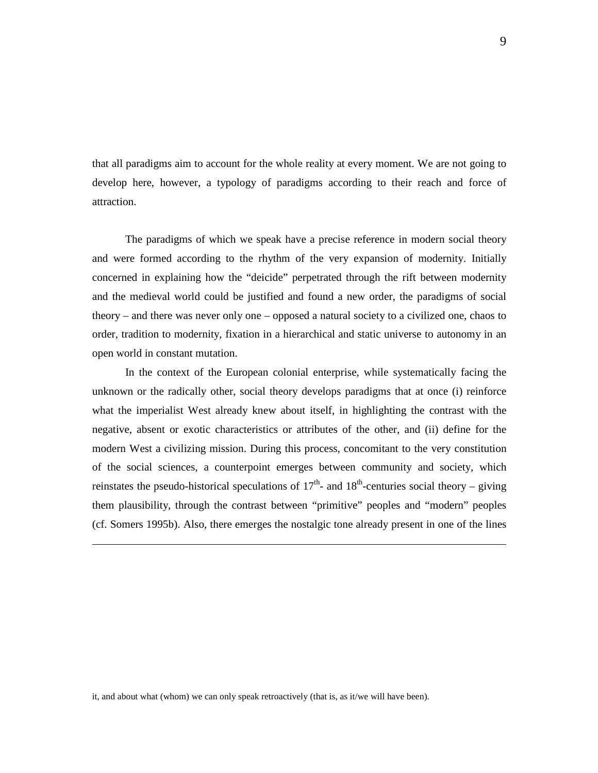that all paradigms aim to account for the whole reality at every moment. We are not going to develop here, however, a typology of paradigms according to their reach and force of attraction.

The paradigms of which we speak have a precise reference in modern social theory and were formed according to the rhythm of the very expansion of modernity. Initially concerned in explaining how the "deicide" perpetrated through the rift between modernity and the medieval world could be justified and found a new order, the paradigms of social theory – and there was never only one – opposed a natural society to a civilized one, chaos to order, tradition to modernity, fixation in a hierarchical and static universe to autonomy in an open world in constant mutation.

In the context of the European colonial enterprise, while systematically facing the unknown or the radically other, social theory develops paradigms that at once (i) reinforce what the imperialist West already knew about itself, in highlighting the contrast with the negative, absent or exotic characteristics or attributes of the other, and (ii) define for the modern West a civilizing mission. During this process, concomitant to the very constitution of the social sciences, a counterpoint emerges between community and society, which reinstates the pseudo-historical speculations of  $17<sup>th</sup>$ - and  $18<sup>th</sup>$ -centuries social theory – giving them plausibility, through the contrast between "primitive" peoples and "modern" peoples (cf. Somers 1995b). Also, there emerges the nostalgic tone already present in one of the lines

it, and about what (whom) we can only speak retroactively (that is, as it/we will have been).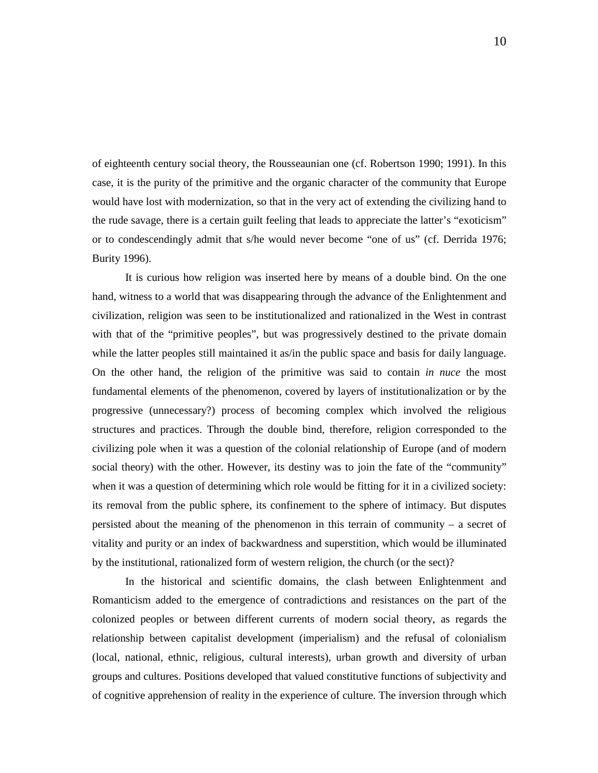of eighteenth century social theory, the Rousseaunian one (cf. Robertson 1990; 1991). In this case, it is the purity of the primitive and the organic character of the community that Europe would have lost with modernization, so that in the very act of extending the civilizing hand to the rude savage, there is a certain guilt feeling that leads to appreciate the latter's "exoticism" or to condescendingly admit that s/he would never become "one of us" (cf. Derrida 1976; Burity 1996).

It is curious how religion was inserted here by means of a double bind. On the one hand, witness to a world that was disappearing through the advance of the Enlightenment and civilization, religion was seen to be institutionalized and rationalized in the West in contrast with that of the "primitive peoples", but was progressively destined to the private domain while the latter peoples still maintained it as/in the public space and basis for daily language. On the other hand, the religion of the primitive was said to contain *in nuce* the most fundamental elements of the phenomenon, covered by layers of institutionalization or by the progressive (unnecessary?) process of becoming complex which involved the religious structures and practices. Through the double bind, therefore, religion corresponded to the civilizing pole when it was a question of the colonial relationship of Europe (and of modern social theory) with the other. However, its destiny was to join the fate of the "community" when it was a question of determining which role would be fitting for it in a civilized society: its removal from the public sphere, its confinement to the sphere of intimacy. But disputes persisted about the meaning of the phenomenon in this terrain of community – a secret of vitality and purity or an index of backwardness and superstition, which would be illuminated by the institutional, rationalized form of western religion, the church (or the sect)?

In the historical and scientific domains, the clash between Enlightenment and Romanticism added to the emergence of contradictions and resistances on the part of the colonized peoples or between different currents of modern social theory, as regards the relationship between capitalist development (imperialism) and the refusal of colonialism (local, national, ethnic, religious, cultural interests), urban growth and diversity of urban groups and cultures. Positions developed that valued constitutive functions of subjectivity and of cognitive apprehension of reality in the experience of culture. The inversion through which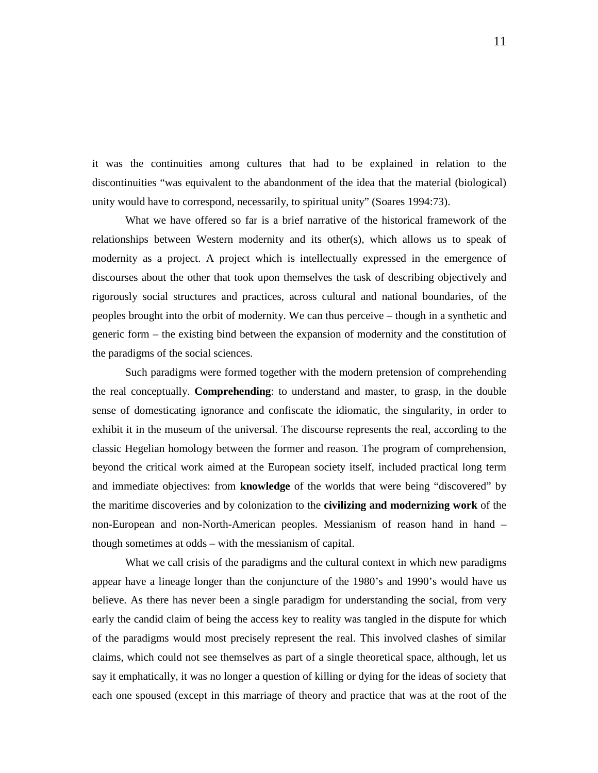it was the continuities among cultures that had to be explained in relation to the discontinuities "was equivalent to the abandonment of the idea that the material (biological) unity would have to correspond, necessarily, to spiritual unity" (Soares 1994:73).

What we have offered so far is a brief narrative of the historical framework of the relationships between Western modernity and its other(s), which allows us to speak of modernity as a project. A project which is intellectually expressed in the emergence of discourses about the other that took upon themselves the task of describing objectively and rigorously social structures and practices, across cultural and national boundaries, of the peoples brought into the orbit of modernity. We can thus perceive – though in a synthetic and generic form – the existing bind between the expansion of modernity and the constitution of the paradigms of the social sciences.

Such paradigms were formed together with the modern pretension of comprehending the real conceptually. **Comprehending**: to understand and master, to grasp, in the double sense of domesticating ignorance and confiscate the idiomatic, the singularity, in order to exhibit it in the museum of the universal. The discourse represents the real, according to the classic Hegelian homology between the former and reason. The program of comprehension, beyond the critical work aimed at the European society itself, included practical long term and immediate objectives: from **knowledge** of the worlds that were being "discovered" by the maritime discoveries and by colonization to the **civilizing and modernizing work** of the non-European and non-North-American peoples. Messianism of reason hand in hand – though sometimes at odds – with the messianism of capital.

What we call crisis of the paradigms and the cultural context in which new paradigms appear have a lineage longer than the conjuncture of the 1980's and 1990's would have us believe. As there has never been a single paradigm for understanding the social, from very early the candid claim of being the access key to reality was tangled in the dispute for which of the paradigms would most precisely represent the real. This involved clashes of similar claims, which could not see themselves as part of a single theoretical space, although, let us say it emphatically, it was no longer a question of killing or dying for the ideas of society that each one spoused (except in this marriage of theory and practice that was at the root of the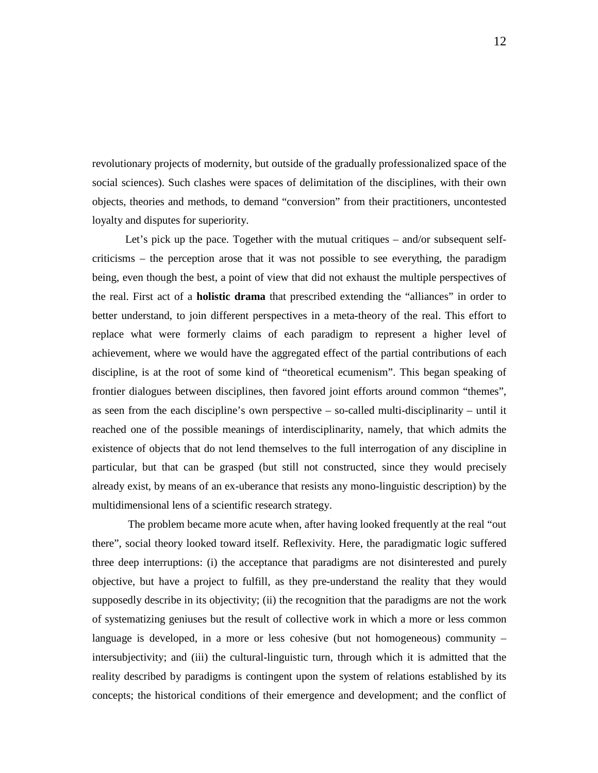revolutionary projects of modernity, but outside of the gradually professionalized space of the social sciences). Such clashes were spaces of delimitation of the disciplines, with their own objects, theories and methods, to demand "conversion" from their practitioners, uncontested loyalty and disputes for superiority.

Let's pick up the pace. Together with the mutual critiques – and/or subsequent selfcriticisms – the perception arose that it was not possible to see everything, the paradigm being, even though the best, a point of view that did not exhaust the multiple perspectives of the real. First act of a **holistic drama** that prescribed extending the "alliances" in order to better understand, to join different perspectives in a meta-theory of the real. This effort to replace what were formerly claims of each paradigm to represent a higher level of achievement, where we would have the aggregated effect of the partial contributions of each discipline, is at the root of some kind of "theoretical ecumenism". This began speaking of frontier dialogues between disciplines, then favored joint efforts around common "themes", as seen from the each discipline's own perspective – so-called multi-disciplinarity – until it reached one of the possible meanings of interdisciplinarity, namely, that which admits the existence of objects that do not lend themselves to the full interrogation of any discipline in particular, but that can be grasped (but still not constructed, since they would precisely already exist, by means of an ex-uberance that resists any mono-linguistic description) by the multidimensional lens of a scientific research strategy.

 The problem became more acute when, after having looked frequently at the real "out there", social theory looked toward itself. Reflexivity. Here, the paradigmatic logic suffered three deep interruptions: (i) the acceptance that paradigms are not disinterested and purely objective, but have a project to fulfill, as they pre-understand the reality that they would supposedly describe in its objectivity; (ii) the recognition that the paradigms are not the work of systematizing geniuses but the result of collective work in which a more or less common language is developed, in a more or less cohesive (but not homogeneous) community – intersubjectivity; and (iii) the cultural-linguistic turn, through which it is admitted that the reality described by paradigms is contingent upon the system of relations established by its concepts; the historical conditions of their emergence and development; and the conflict of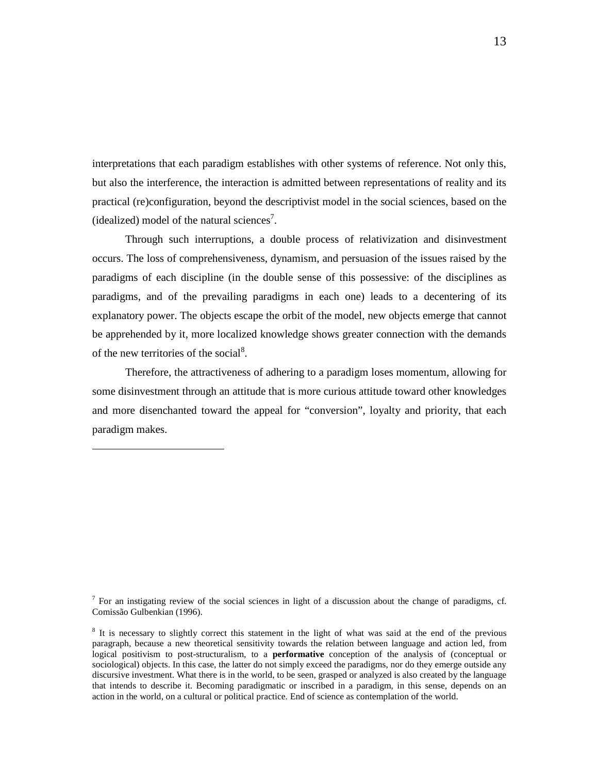interpretations that each paradigm establishes with other systems of reference. Not only this, but also the interference, the interaction is admitted between representations of reality and its practical (re)configuration, beyond the descriptivist model in the social sciences, based on the (idealized) model of the natural sciences<sup>7</sup>.

Through such interruptions, a double process of relativization and disinvestment occurs. The loss of comprehensiveness, dynamism, and persuasion of the issues raised by the paradigms of each discipline (in the double sense of this possessive: of the disciplines as paradigms, and of the prevailing paradigms in each one) leads to a decentering of its explanatory power. The objects escape the orbit of the model, new objects emerge that cannot be apprehended by it, more localized knowledge shows greater connection with the demands of the new territories of the social<sup>8</sup>.

Therefore, the attractiveness of adhering to a paradigm loses momentum, allowing for some disinvestment through an attitude that is more curious attitude toward other knowledges and more disenchanted toward the appeal for "conversion", loyalty and priority, that each paradigm makes.

 $<sup>7</sup>$  For an instigating review of the social sciences in light of a discussion about the change of paradigms, cf.</sup> Comissão Gulbenkian (1996).

<sup>&</sup>lt;sup>8</sup> It is necessary to slightly correct this statement in the light of what was said at the end of the previous paragraph, because a new theoretical sensitivity towards the relation between language and action led, from logical positivism to post-structuralism, to a **performative** conception of the analysis of (conceptual or sociological) objects. In this case, the latter do not simply exceed the paradigms, nor do they emerge outside any discursive investment. What there is in the world, to be seen, grasped or analyzed is also created by the language that intends to describe it. Becoming paradigmatic or inscribed in a paradigm, in this sense, depends on an action in the world, on a cultural or political practice. End of science as contemplation of the world.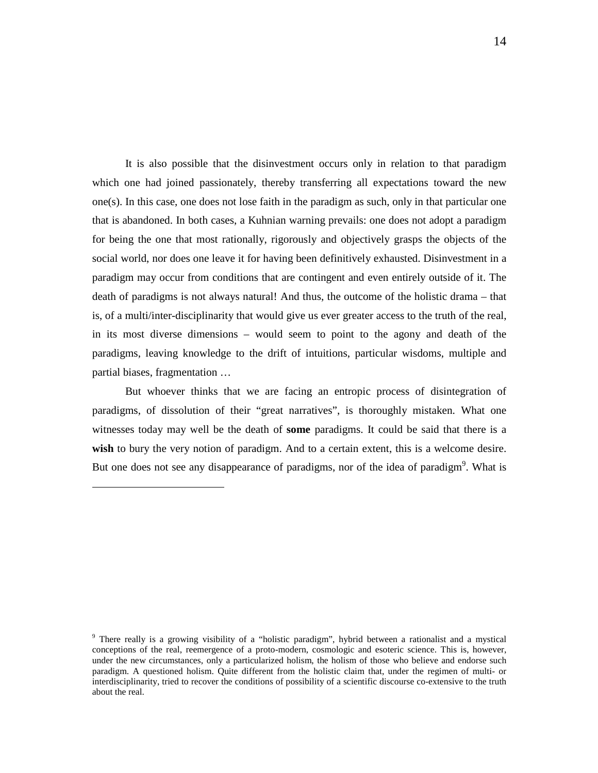It is also possible that the disinvestment occurs only in relation to that paradigm which one had joined passionately, thereby transferring all expectations toward the new one(s). In this case, one does not lose faith in the paradigm as such, only in that particular one that is abandoned. In both cases, a Kuhnian warning prevails: one does not adopt a paradigm for being the one that most rationally, rigorously and objectively grasps the objects of the social world, nor does one leave it for having been definitively exhausted. Disinvestment in a paradigm may occur from conditions that are contingent and even entirely outside of it. The death of paradigms is not always natural! And thus, the outcome of the holistic drama – that is, of a multi/inter-disciplinarity that would give us ever greater access to the truth of the real, in its most diverse dimensions – would seem to point to the agony and death of the paradigms, leaving knowledge to the drift of intuitions, particular wisdoms, multiple and partial biases, fragmentation …

But whoever thinks that we are facing an entropic process of disintegration of paradigms, of dissolution of their "great narratives", is thoroughly mistaken. What one witnesses today may well be the death of **some** paradigms. It could be said that there is a **wish** to bury the very notion of paradigm. And to a certain extent, this is a welcome desire. But one does not see any disappearance of paradigms, nor of the idea of paradigm<sup>9</sup>. What is

<sup>&</sup>lt;sup>9</sup> There really is a growing visibility of a "holistic paradigm", hybrid between a rationalist and a mystical conceptions of the real, reemergence of a proto-modern, cosmologic and esoteric science. This is, however, under the new circumstances, only a particularized holism, the holism of those who believe and endorse such paradigm. A questioned holism. Quite different from the holistic claim that, under the regimen of multi- or interdisciplinarity, tried to recover the conditions of possibility of a scientific discourse co-extensive to the truth about the real.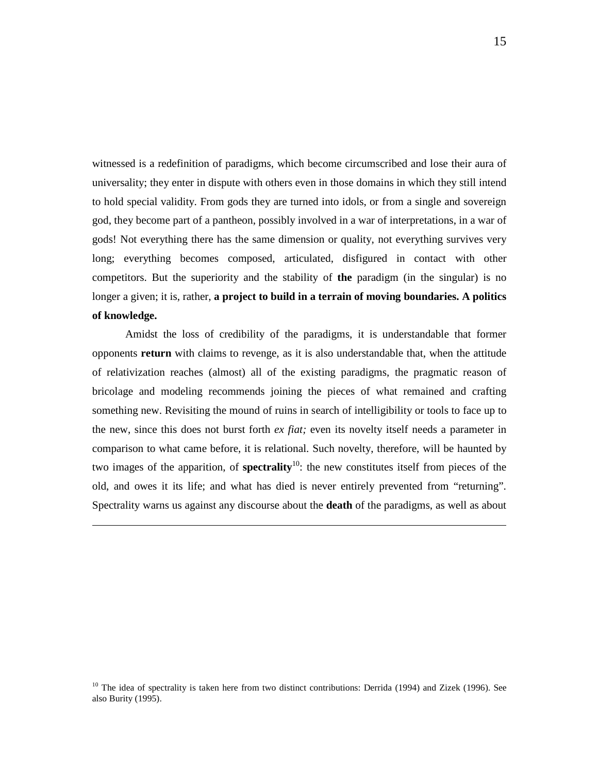witnessed is a redefinition of paradigms, which become circumscribed and lose their aura of universality; they enter in dispute with others even in those domains in which they still intend to hold special validity. From gods they are turned into idols, or from a single and sovereign god, they become part of a pantheon, possibly involved in a war of interpretations, in a war of gods! Not everything there has the same dimension or quality, not everything survives very long; everything becomes composed, articulated, disfigured in contact with other competitors. But the superiority and the stability of **the** paradigm (in the singular) is no longer a given; it is, rather, **a project to build in a terrain of moving boundaries. A politics of knowledge.** 

Amidst the loss of credibility of the paradigms, it is understandable that former opponents **return** with claims to revenge, as it is also understandable that, when the attitude of relativization reaches (almost) all of the existing paradigms, the pragmatic reason of bricolage and modeling recommends joining the pieces of what remained and crafting something new. Revisiting the mound of ruins in search of intelligibility or tools to face up to the new, since this does not burst forth *ex fiat;* even its novelty itself needs a parameter in comparison to what came before, it is relational. Such novelty, therefore, will be haunted by two images of the apparition, of **spectrality**<sup>10</sup>: the new constitutes itself from pieces of the old, and owes it its life; and what has died is never entirely prevented from "returning". Spectrality warns us against any discourse about the **death** of the paradigms, as well as about

-

<sup>10</sup> The idea of spectrality is taken here from two distinct contributions: Derrida (1994) and Zizek (1996). See also Burity (1995).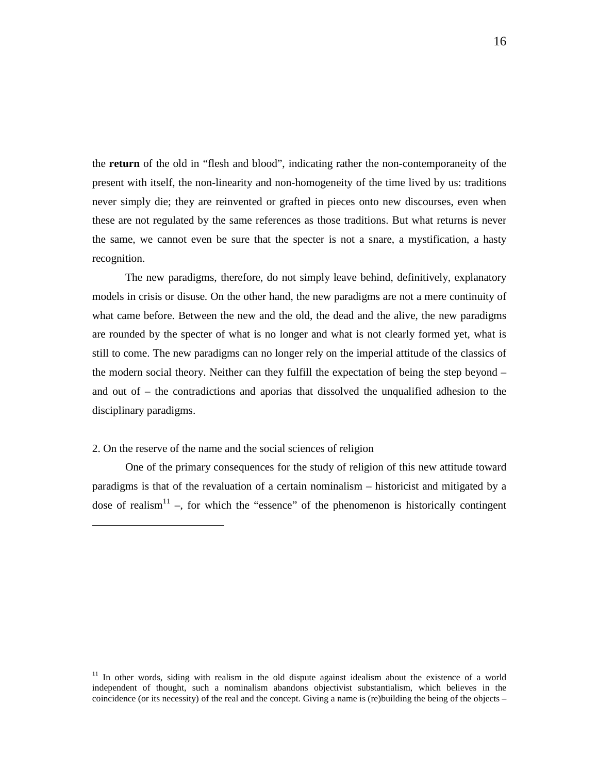the **return** of the old in "flesh and blood", indicating rather the non-contemporaneity of the present with itself, the non-linearity and non-homogeneity of the time lived by us: traditions never simply die; they are reinvented or grafted in pieces onto new discourses, even when these are not regulated by the same references as those traditions. But what returns is never the same, we cannot even be sure that the specter is not a snare, a mystification, a hasty recognition.

The new paradigms, therefore, do not simply leave behind, definitively, explanatory models in crisis or disuse. On the other hand, the new paradigms are not a mere continuity of what came before. Between the new and the old, the dead and the alive, the new paradigms are rounded by the specter of what is no longer and what is not clearly formed yet, what is still to come. The new paradigms can no longer rely on the imperial attitude of the classics of the modern social theory. Neither can they fulfill the expectation of being the step beyond – and out of – the contradictions and aporias that dissolved the unqualified adhesion to the disciplinary paradigms.

### 2. On the reserve of the name and the social sciences of religion

-

One of the primary consequences for the study of religion of this new attitude toward paradigms is that of the revaluation of a certain nominalism – historicist and mitigated by a dose of realism<sup>11</sup> –, for which the "essence" of the phenomenon is historically contingent

 $11$  In other words, siding with realism in the old dispute against idealism about the existence of a world independent of thought, such a nominalism abandons objectivist substantialism, which believes in the coincidence (or its necessity) of the real and the concept. Giving a name is (re)building the being of the objects –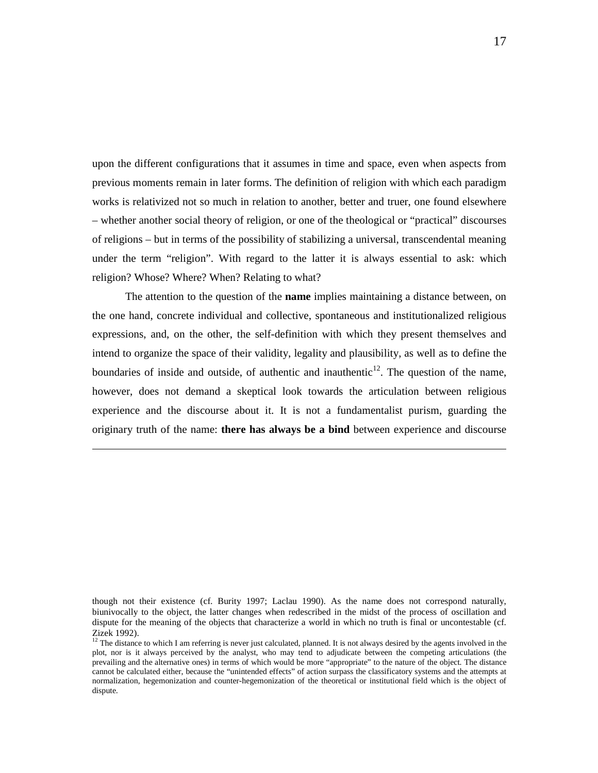upon the different configurations that it assumes in time and space, even when aspects from previous moments remain in later forms. The definition of religion with which each paradigm works is relativized not so much in relation to another, better and truer, one found elsewhere – whether another social theory of religion, or one of the theological or "practical" discourses of religions – but in terms of the possibility of stabilizing a universal, transcendental meaning under the term "religion". With regard to the latter it is always essential to ask: which religion? Whose? Where? When? Relating to what?

The attention to the question of the **name** implies maintaining a distance between, on the one hand, concrete individual and collective, spontaneous and institutionalized religious expressions, and, on the other, the self-definition with which they present themselves and intend to organize the space of their validity, legality and plausibility, as well as to define the boundaries of inside and outside, of authentic and inauthentic<sup>12</sup>. The question of the name, however, does not demand a skeptical look towards the articulation between religious experience and the discourse about it. It is not a fundamentalist purism, guarding the originary truth of the name: **there has always be a bind** between experience and discourse

though not their existence (cf. Burity 1997; Laclau 1990). As the name does not correspond naturally, biunivocally to the object, the latter changes when redescribed in the midst of the process of oscillation and dispute for the meaning of the objects that characterize a world in which no truth is final or uncontestable (cf. Zizek 1992).

<sup>&</sup>lt;sup>12</sup> The distance to which I am referring is never just calculated, planned. It is not always desired by the agents involved in the plot, nor is it always perceived by the analyst, who may tend to adjudicate between the competing articulations (the prevailing and the alternative ones) in terms of which would be more "appropriate" to the nature of the object. The distance cannot be calculated either, because the "unintended effects" of action surpass the classificatory systems and the attempts at normalization, hegemonization and counter-hegemonization of the theoretical or institutional field which is the object of dispute.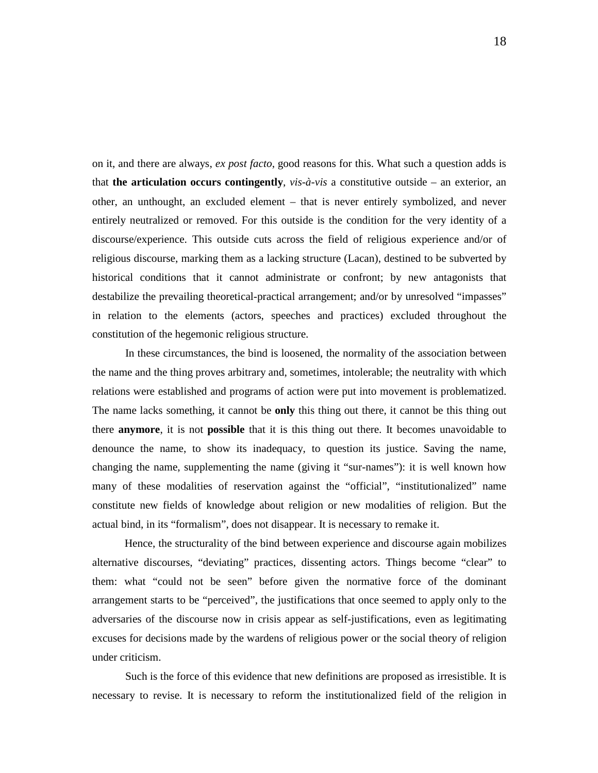on it, and there are always, *ex post facto*, good reasons for this. What such a question adds is that **the articulation occurs contingently**, *vis-à-vis* a constitutive outside – an exterior, an other, an unthought, an excluded element – that is never entirely symbolized, and never entirely neutralized or removed. For this outside is the condition for the very identity of a discourse/experience. This outside cuts across the field of religious experience and/or of religious discourse, marking them as a lacking structure (Lacan), destined to be subverted by historical conditions that it cannot administrate or confront; by new antagonists that destabilize the prevailing theoretical-practical arrangement; and/or by unresolved "impasses" in relation to the elements (actors, speeches and practices) excluded throughout the constitution of the hegemonic religious structure.

In these circumstances, the bind is loosened, the normality of the association between the name and the thing proves arbitrary and, sometimes, intolerable; the neutrality with which relations were established and programs of action were put into movement is problematized. The name lacks something, it cannot be **only** this thing out there, it cannot be this thing out there **anymore**, it is not **possible** that it is this thing out there. It becomes unavoidable to denounce the name, to show its inadequacy, to question its justice. Saving the name, changing the name, supplementing the name (giving it "sur-names"): it is well known how many of these modalities of reservation against the "official", "institutionalized" name constitute new fields of knowledge about religion or new modalities of religion. But the actual bind, in its "formalism", does not disappear. It is necessary to remake it.

 Hence, the structurality of the bind between experience and discourse again mobilizes alternative discourses, "deviating" practices, dissenting actors. Things become "clear" to them: what "could not be seen" before given the normative force of the dominant arrangement starts to be "perceived", the justifications that once seemed to apply only to the adversaries of the discourse now in crisis appear as self-justifications, even as legitimating excuses for decisions made by the wardens of religious power or the social theory of religion under criticism.

Such is the force of this evidence that new definitions are proposed as irresistible. It is necessary to revise. It is necessary to reform the institutionalized field of the religion in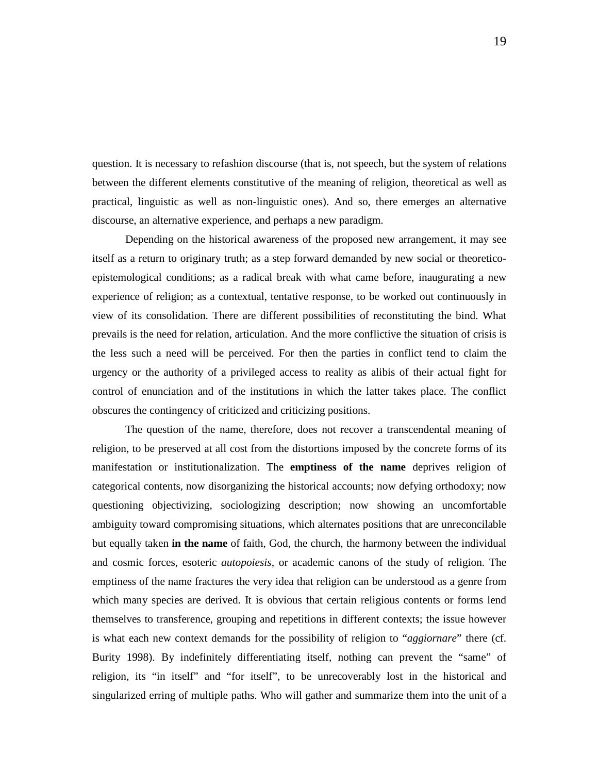question. It is necessary to refashion discourse (that is, not speech, but the system of relations between the different elements constitutive of the meaning of religion, theoretical as well as practical, linguistic as well as non-linguistic ones). And so, there emerges an alternative discourse, an alternative experience, and perhaps a new paradigm.

Depending on the historical awareness of the proposed new arrangement, it may see itself as a return to originary truth; as a step forward demanded by new social or theoreticoepistemological conditions; as a radical break with what came before, inaugurating a new experience of religion; as a contextual, tentative response, to be worked out continuously in view of its consolidation. There are different possibilities of reconstituting the bind. What prevails is the need for relation, articulation. And the more conflictive the situation of crisis is the less such a need will be perceived. For then the parties in conflict tend to claim the urgency or the authority of a privileged access to reality as alibis of their actual fight for control of enunciation and of the institutions in which the latter takes place. The conflict obscures the contingency of criticized and criticizing positions.

The question of the name, therefore, does not recover a transcendental meaning of religion, to be preserved at all cost from the distortions imposed by the concrete forms of its manifestation or institutionalization. The **emptiness of the name** deprives religion of categorical contents, now disorganizing the historical accounts; now defying orthodoxy; now questioning objectivizing, sociologizing description; now showing an uncomfortable ambiguity toward compromising situations, which alternates positions that are unreconcilable but equally taken **in the name** of faith, God, the church, the harmony between the individual and cosmic forces, esoteric *autopoiesis*, or academic canons of the study of religion. The emptiness of the name fractures the very idea that religion can be understood as a genre from which many species are derived. It is obvious that certain religious contents or forms lend themselves to transference, grouping and repetitions in different contexts; the issue however is what each new context demands for the possibility of religion to "*aggiornare*" there (cf. Burity 1998). By indefinitely differentiating itself, nothing can prevent the "same" of religion, its "in itself" and "for itself", to be unrecoverably lost in the historical and singularized erring of multiple paths. Who will gather and summarize them into the unit of a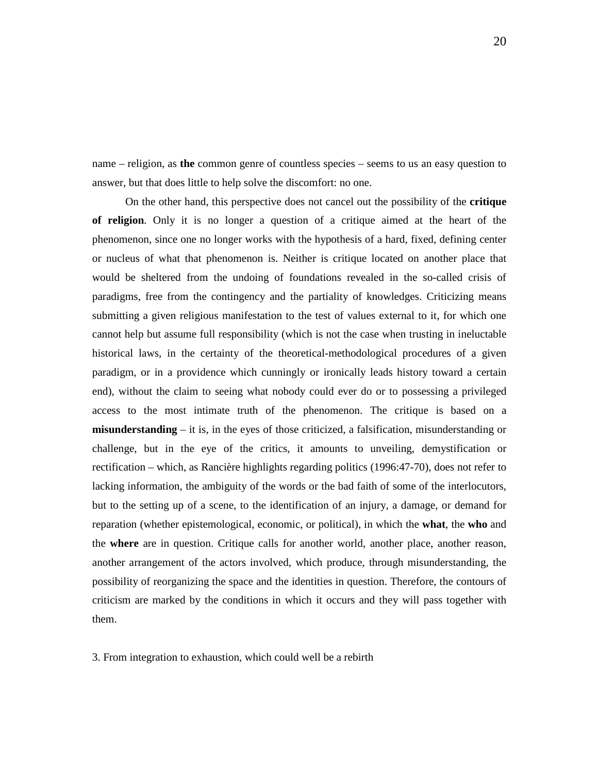name – religion, as **the** common genre of countless species – seems to us an easy question to answer, but that does little to help solve the discomfort: no one.

On the other hand, this perspective does not cancel out the possibility of the **critique of religion**. Only it is no longer a question of a critique aimed at the heart of the phenomenon, since one no longer works with the hypothesis of a hard, fixed, defining center or nucleus of what that phenomenon is. Neither is critique located on another place that would be sheltered from the undoing of foundations revealed in the so-called crisis of paradigms, free from the contingency and the partiality of knowledges. Criticizing means submitting a given religious manifestation to the test of values external to it, for which one cannot help but assume full responsibility (which is not the case when trusting in ineluctable historical laws, in the certainty of the theoretical-methodological procedures of a given paradigm, or in a providence which cunningly or ironically leads history toward a certain end), without the claim to seeing what nobody could ever do or to possessing a privileged access to the most intimate truth of the phenomenon. The critique is based on a **misunderstanding** – it is, in the eyes of those criticized, a falsification, misunderstanding or challenge, but in the eye of the critics, it amounts to unveiling, demystification or rectification – which, as Rancière highlights regarding politics (1996:47-70), does not refer to lacking information, the ambiguity of the words or the bad faith of some of the interlocutors, but to the setting up of a scene, to the identification of an injury, a damage, or demand for reparation (whether epistemological, economic, or political), in which the **what**, the **who** and the **where** are in question. Critique calls for another world, another place, another reason, another arrangement of the actors involved, which produce, through misunderstanding, the possibility of reorganizing the space and the identities in question. Therefore, the contours of criticism are marked by the conditions in which it occurs and they will pass together with them.

3. From integration to exhaustion, which could well be a rebirth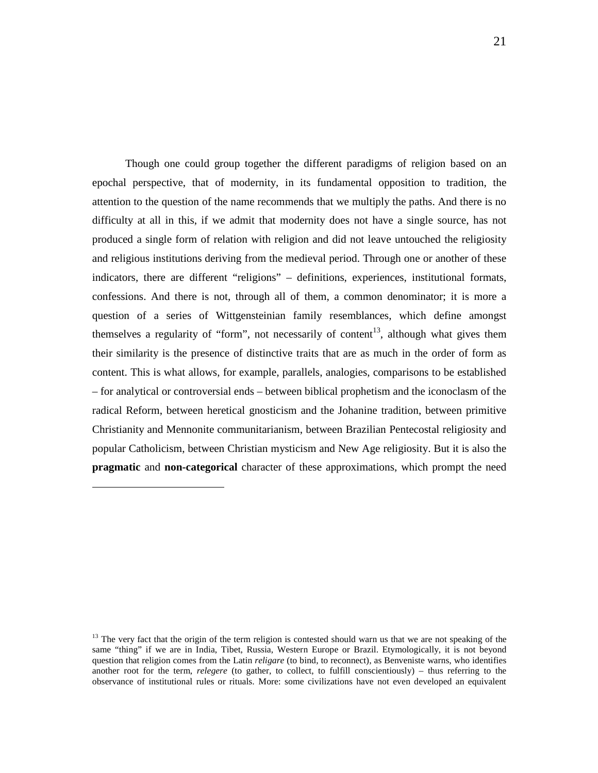Though one could group together the different paradigms of religion based on an epochal perspective, that of modernity, in its fundamental opposition to tradition, the attention to the question of the name recommends that we multiply the paths. And there is no difficulty at all in this, if we admit that modernity does not have a single source, has not produced a single form of relation with religion and did not leave untouched the religiosity and religious institutions deriving from the medieval period. Through one or another of these indicators, there are different "religions" – definitions, experiences, institutional formats, confessions. And there is not, through all of them, a common denominator; it is more a question of a series of Wittgensteinian family resemblances, which define amongst themselves a regularity of "form", not necessarily of content<sup>13</sup>, although what gives them their similarity is the presence of distinctive traits that are as much in the order of form as content. This is what allows, for example, parallels, analogies, comparisons to be established – for analytical or controversial ends – between biblical prophetism and the iconoclasm of the radical Reform, between heretical gnosticism and the Johanine tradition, between primitive Christianity and Mennonite communitarianism, between Brazilian Pentecostal religiosity and popular Catholicism, between Christian mysticism and New Age religiosity. But it is also the **pragmatic** and **non-categorical** character of these approximations, which prompt the need

 $13$  The very fact that the origin of the term religion is contested should warn us that we are not speaking of the same "thing" if we are in India, Tibet, Russia, Western Europe or Brazil. Etymologically, it is not beyond question that religion comes from the Latin *religare* (to bind, to reconnect), as Benveniste warns, who identifies another root for the term, *relegere* (to gather, to collect, to fulfill conscientiously) – thus referring to the observance of institutional rules or rituals. More: some civilizations have not even developed an equivalent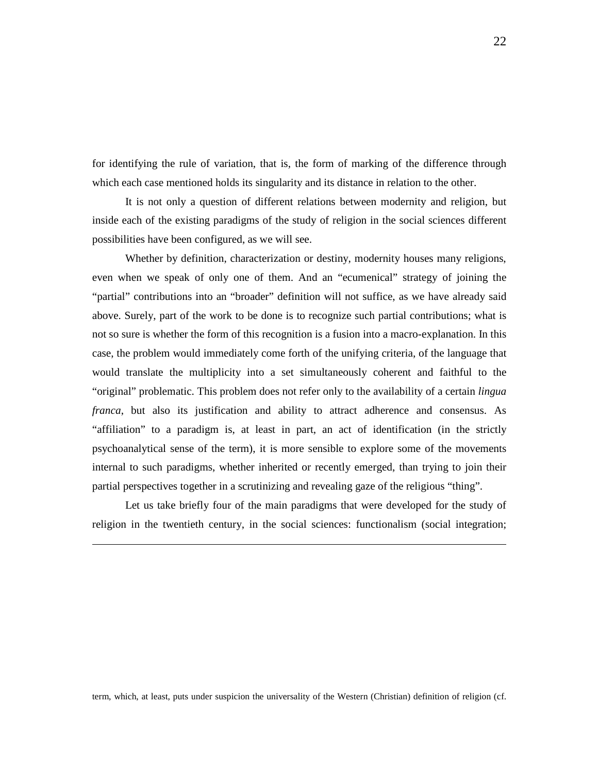for identifying the rule of variation, that is, the form of marking of the difference through which each case mentioned holds its singularity and its distance in relation to the other.

It is not only a question of different relations between modernity and religion, but inside each of the existing paradigms of the study of religion in the social sciences different possibilities have been configured, as we will see.

Whether by definition, characterization or destiny, modernity houses many religions, even when we speak of only one of them. And an "ecumenical" strategy of joining the "partial" contributions into an "broader" definition will not suffice, as we have already said above. Surely, part of the work to be done is to recognize such partial contributions; what is not so sure is whether the form of this recognition is a fusion into a macro-explanation. In this case, the problem would immediately come forth of the unifying criteria, of the language that would translate the multiplicity into a set simultaneously coherent and faithful to the "original" problematic. This problem does not refer only to the availability of a certain *lingua franca*, but also its justification and ability to attract adherence and consensus. As "affiliation" to a paradigm is, at least in part, an act of identification (in the strictly psychoanalytical sense of the term), it is more sensible to explore some of the movements internal to such paradigms, whether inherited or recently emerged, than trying to join their partial perspectives together in a scrutinizing and revealing gaze of the religious "thing".

Let us take briefly four of the main paradigms that were developed for the study of religion in the twentieth century, in the social sciences: functionalism (social integration;

-

term, which, at least, puts under suspicion the universality of the Western (Christian) definition of religion (cf.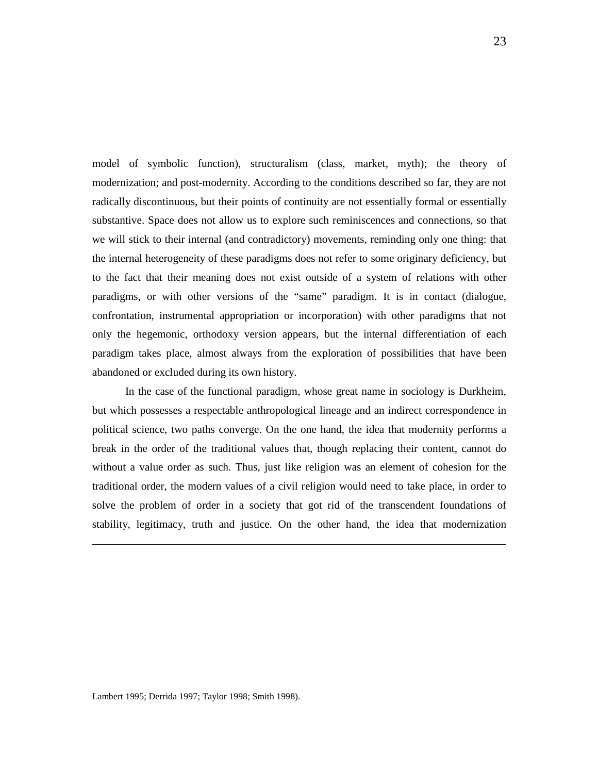model of symbolic function), structuralism (class, market, myth); the theory of modernization; and post-modernity. According to the conditions described so far, they are not radically discontinuous, but their points of continuity are not essentially formal or essentially substantive. Space does not allow us to explore such reminiscences and connections, so that we will stick to their internal (and contradictory) movements, reminding only one thing: that the internal heterogeneity of these paradigms does not refer to some originary deficiency, but to the fact that their meaning does not exist outside of a system of relations with other paradigms, or with other versions of the "same" paradigm. It is in contact (dialogue, confrontation, instrumental appropriation or incorporation) with other paradigms that not only the hegemonic, orthodoxy version appears, but the internal differentiation of each paradigm takes place, almost always from the exploration of possibilities that have been abandoned or excluded during its own history.

In the case of the functional paradigm, whose great name in sociology is Durkheim, but which possesses a respectable anthropological lineage and an indirect correspondence in political science, two paths converge. On the one hand, the idea that modernity performs a break in the order of the traditional values that, though replacing their content, cannot do without a value order as such. Thus, just like religion was an element of cohesion for the traditional order, the modern values of a civil religion would need to take place, in order to solve the problem of order in a society that got rid of the transcendent foundations of stability, legitimacy, truth and justice. On the other hand, the idea that modernization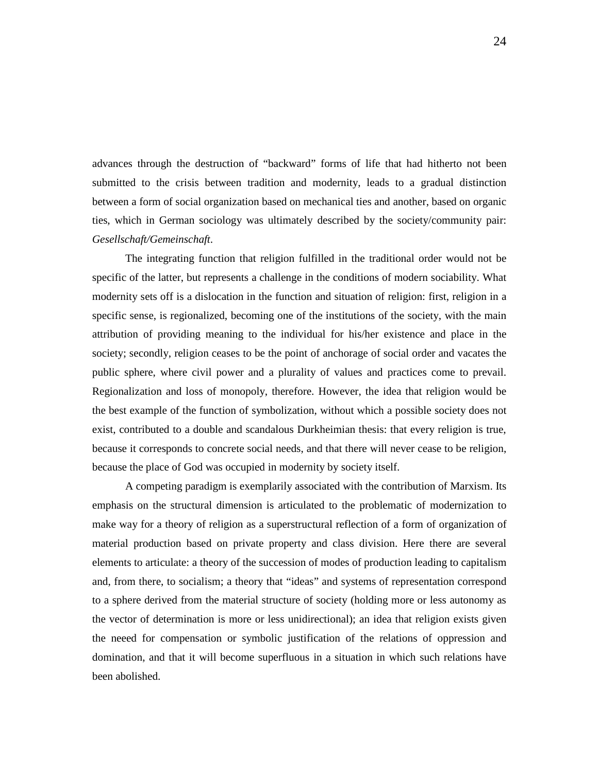advances through the destruction of "backward" forms of life that had hitherto not been submitted to the crisis between tradition and modernity, leads to a gradual distinction between a form of social organization based on mechanical ties and another, based on organic ties, which in German sociology was ultimately described by the society/community pair: *Gesellschaft/Gemeinschaft*.

The integrating function that religion fulfilled in the traditional order would not be specific of the latter, but represents a challenge in the conditions of modern sociability. What modernity sets off is a dislocation in the function and situation of religion: first, religion in a specific sense, is regionalized, becoming one of the institutions of the society, with the main attribution of providing meaning to the individual for his/her existence and place in the society; secondly, religion ceases to be the point of anchorage of social order and vacates the public sphere, where civil power and a plurality of values and practices come to prevail. Regionalization and loss of monopoly, therefore. However, the idea that religion would be the best example of the function of symbolization, without which a possible society does not exist, contributed to a double and scandalous Durkheimian thesis: that every religion is true, because it corresponds to concrete social needs, and that there will never cease to be religion, because the place of God was occupied in modernity by society itself.

A competing paradigm is exemplarily associated with the contribution of Marxism. Its emphasis on the structural dimension is articulated to the problematic of modernization to make way for a theory of religion as a superstructural reflection of a form of organization of material production based on private property and class division. Here there are several elements to articulate: a theory of the succession of modes of production leading to capitalism and, from there, to socialism; a theory that "ideas" and systems of representation correspond to a sphere derived from the material structure of society (holding more or less autonomy as the vector of determination is more or less unidirectional); an idea that religion exists given the neeed for compensation or symbolic justification of the relations of oppression and domination, and that it will become superfluous in a situation in which such relations have been abolished.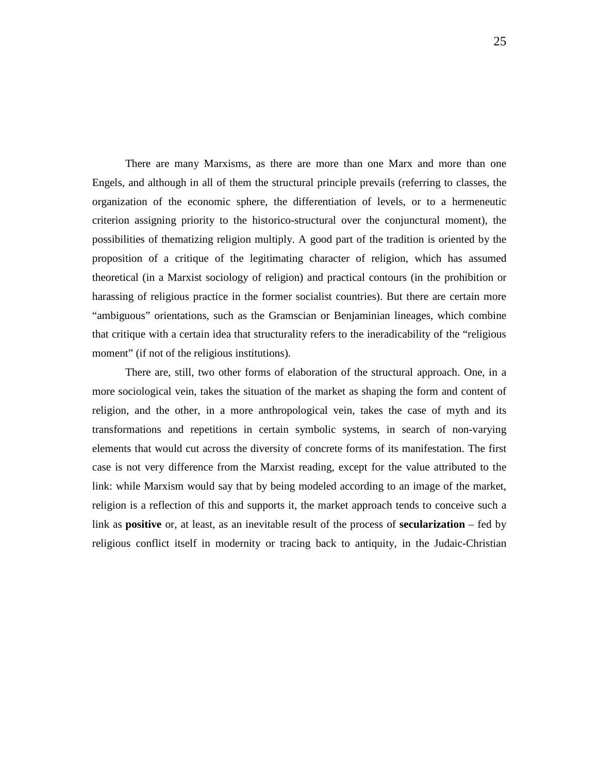There are many Marxisms, as there are more than one Marx and more than one Engels, and although in all of them the structural principle prevails (referring to classes, the organization of the economic sphere, the differentiation of levels, or to a hermeneutic criterion assigning priority to the historico-structural over the conjunctural moment), the possibilities of thematizing religion multiply. A good part of the tradition is oriented by the proposition of a critique of the legitimating character of religion, which has assumed theoretical (in a Marxist sociology of religion) and practical contours (in the prohibition or harassing of religious practice in the former socialist countries). But there are certain more "ambiguous" orientations, such as the Gramscian or Benjaminian lineages, which combine that critique with a certain idea that structurality refers to the ineradicability of the "religious moment" (if not of the religious institutions).

There are, still, two other forms of elaboration of the structural approach. One, in a more sociological vein, takes the situation of the market as shaping the form and content of religion, and the other, in a more anthropological vein, takes the case of myth and its transformations and repetitions in certain symbolic systems, in search of non-varying elements that would cut across the diversity of concrete forms of its manifestation. The first case is not very difference from the Marxist reading, except for the value attributed to the link: while Marxism would say that by being modeled according to an image of the market, religion is a reflection of this and supports it, the market approach tends to conceive such a link as **positive** or, at least, as an inevitable result of the process of **secularization** – fed by religious conflict itself in modernity or tracing back to antiquity, in the Judaic-Christian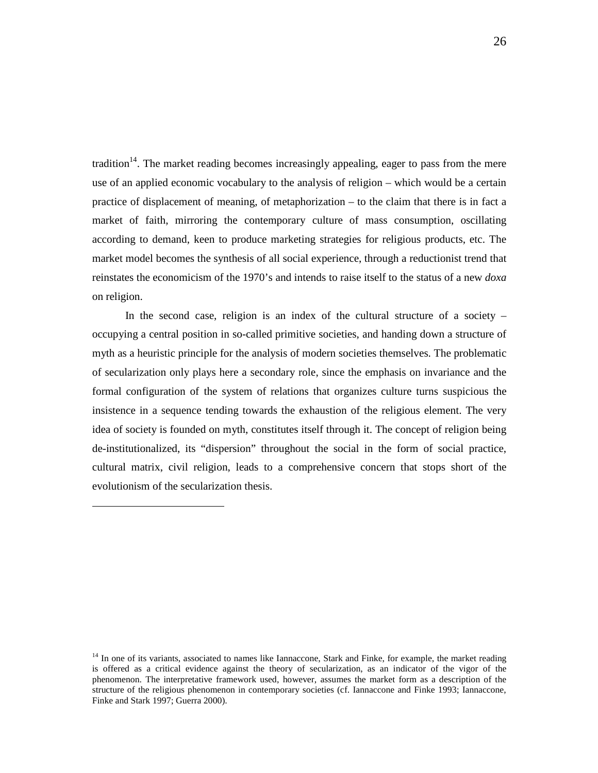tradition<sup>14</sup>. The market reading becomes increasingly appealing, eager to pass from the mere use of an applied economic vocabulary to the analysis of religion – which would be a certain practice of displacement of meaning, of metaphorization – to the claim that there is in fact a market of faith, mirroring the contemporary culture of mass consumption, oscillating according to demand, keen to produce marketing strategies for religious products, etc. The market model becomes the synthesis of all social experience, through a reductionist trend that reinstates the economicism of the 1970's and intends to raise itself to the status of a new *doxa* on religion.

In the second case, religion is an index of the cultural structure of a society  $$ occupying a central position in so-called primitive societies, and handing down a structure of myth as a heuristic principle for the analysis of modern societies themselves. The problematic of secularization only plays here a secondary role, since the emphasis on invariance and the formal configuration of the system of relations that organizes culture turns suspicious the insistence in a sequence tending towards the exhaustion of the religious element. The very idea of society is founded on myth, constitutes itself through it. The concept of religion being de-institutionalized, its "dispersion" throughout the social in the form of social practice, cultural matrix, civil religion, leads to a comprehensive concern that stops short of the evolutionism of the secularization thesis.

<sup>&</sup>lt;sup>14</sup> In one of its variants, associated to names like Iannaccone, Stark and Finke, for example, the market reading is offered as a critical evidence against the theory of secularization, as an indicator of the vigor of the phenomenon. The interpretative framework used, however, assumes the market form as a description of the structure of the religious phenomenon in contemporary societies (cf. Iannaccone and Finke 1993; Iannaccone, Finke and Stark 1997; Guerra 2000).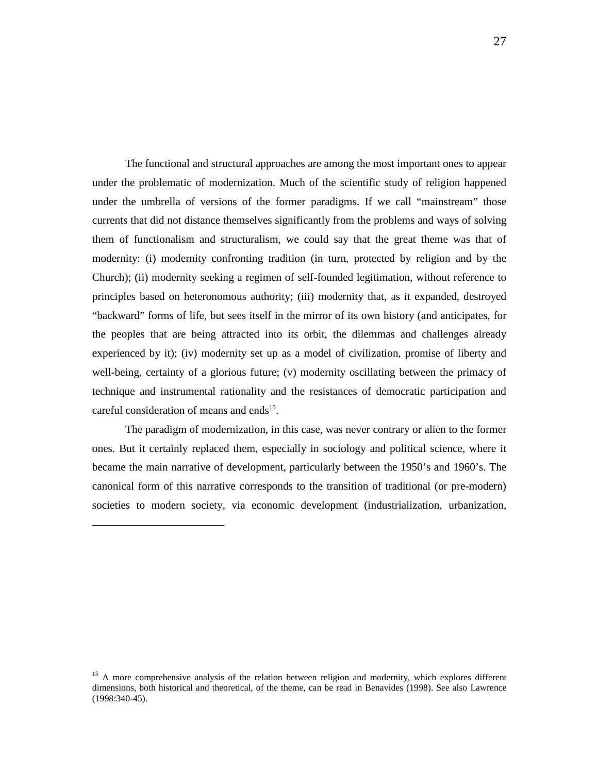The functional and structural approaches are among the most important ones to appear under the problematic of modernization. Much of the scientific study of religion happened under the umbrella of versions of the former paradigms. If we call "mainstream" those currents that did not distance themselves significantly from the problems and ways of solving them of functionalism and structuralism, we could say that the great theme was that of modernity: (i) modernity confronting tradition (in turn, protected by religion and by the Church); (ii) modernity seeking a regimen of self-founded legitimation, without reference to principles based on heteronomous authority; (iii) modernity that, as it expanded, destroyed "backward" forms of life, but sees itself in the mirror of its own history (and anticipates, for the peoples that are being attracted into its orbit, the dilemmas and challenges already experienced by it); (iv) modernity set up as a model of civilization, promise of liberty and well-being, certainty of a glorious future; (v) modernity oscillating between the primacy of technique and instrumental rationality and the resistances of democratic participation and careful consideration of means and ends<sup>15</sup>.

The paradigm of modernization, in this case, was never contrary or alien to the former ones. But it certainly replaced them, especially in sociology and political science, where it became the main narrative of development, particularly between the 1950's and 1960's. The canonical form of this narrative corresponds to the transition of traditional (or pre-modern) societies to modern society, via economic development (industrialization, urbanization,

<sup>&</sup>lt;sup>15</sup> A more comprehensive analysis of the relation between religion and modernity, which explores different dimensions, both historical and theoretical, of the theme, can be read in Benavides (1998). See also Lawrence (1998:340-45).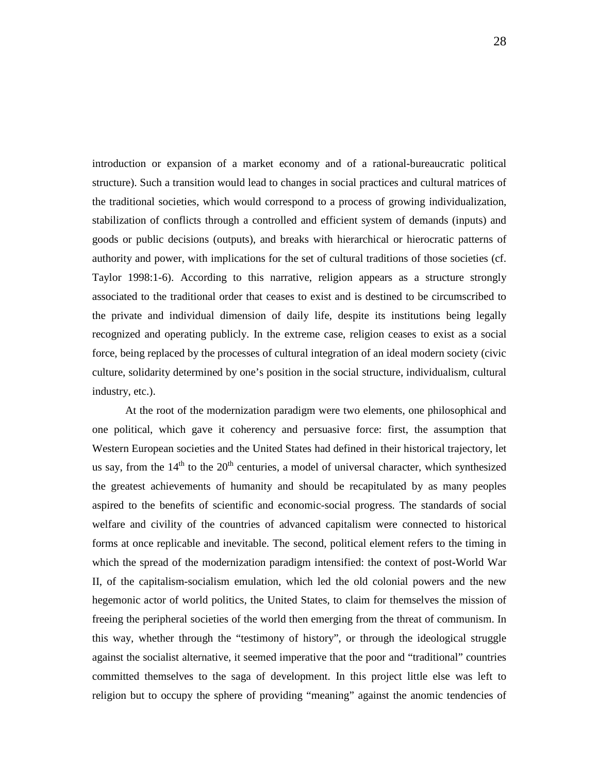introduction or expansion of a market economy and of a rational-bureaucratic political structure). Such a transition would lead to changes in social practices and cultural matrices of the traditional societies, which would correspond to a process of growing individualization, stabilization of conflicts through a controlled and efficient system of demands (inputs) and goods or public decisions (outputs), and breaks with hierarchical or hierocratic patterns of authority and power, with implications for the set of cultural traditions of those societies (cf. Taylor 1998:1-6). According to this narrative, religion appears as a structure strongly associated to the traditional order that ceases to exist and is destined to be circumscribed to the private and individual dimension of daily life, despite its institutions being legally recognized and operating publicly. In the extreme case, religion ceases to exist as a social force, being replaced by the processes of cultural integration of an ideal modern society (civic culture, solidarity determined by one's position in the social structure, individualism, cultural industry, etc.).

At the root of the modernization paradigm were two elements, one philosophical and one political, which gave it coherency and persuasive force: first, the assumption that Western European societies and the United States had defined in their historical trajectory, let us say, from the  $14<sup>th</sup>$  to the  $20<sup>th</sup>$  centuries, a model of universal character, which synthesized the greatest achievements of humanity and should be recapitulated by as many peoples aspired to the benefits of scientific and economic-social progress. The standards of social welfare and civility of the countries of advanced capitalism were connected to historical forms at once replicable and inevitable. The second, political element refers to the timing in which the spread of the modernization paradigm intensified: the context of post-World War II, of the capitalism-socialism emulation, which led the old colonial powers and the new hegemonic actor of world politics, the United States, to claim for themselves the mission of freeing the peripheral societies of the world then emerging from the threat of communism. In this way, whether through the "testimony of history", or through the ideological struggle against the socialist alternative, it seemed imperative that the poor and "traditional" countries committed themselves to the saga of development. In this project little else was left to religion but to occupy the sphere of providing "meaning" against the anomic tendencies of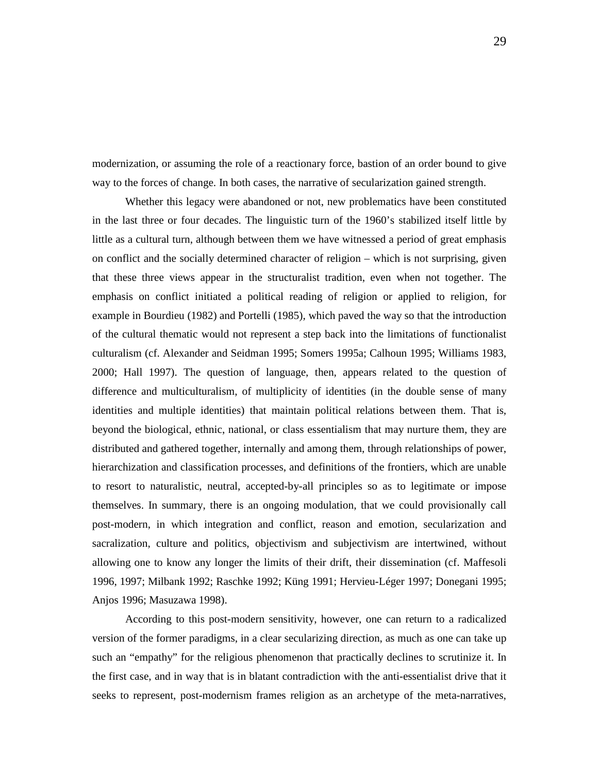modernization, or assuming the role of a reactionary force, bastion of an order bound to give way to the forces of change. In both cases, the narrative of secularization gained strength.

Whether this legacy were abandoned or not, new problematics have been constituted in the last three or four decades. The linguistic turn of the 1960's stabilized itself little by little as a cultural turn, although between them we have witnessed a period of great emphasis on conflict and the socially determined character of religion – which is not surprising, given that these three views appear in the structuralist tradition, even when not together. The emphasis on conflict initiated a political reading of religion or applied to religion, for example in Bourdieu (1982) and Portelli (1985), which paved the way so that the introduction of the cultural thematic would not represent a step back into the limitations of functionalist culturalism (cf. Alexander and Seidman 1995; Somers 1995a; Calhoun 1995; Williams 1983, 2000; Hall 1997). The question of language, then, appears related to the question of difference and multiculturalism, of multiplicity of identities (in the double sense of many identities and multiple identities) that maintain political relations between them. That is, beyond the biological, ethnic, national, or class essentialism that may nurture them, they are distributed and gathered together, internally and among them, through relationships of power, hierarchization and classification processes, and definitions of the frontiers, which are unable to resort to naturalistic, neutral, accepted-by-all principles so as to legitimate or impose themselves. In summary, there is an ongoing modulation, that we could provisionally call post-modern, in which integration and conflict, reason and emotion, secularization and sacralization, culture and politics, objectivism and subjectivism are intertwined, without allowing one to know any longer the limits of their drift, their dissemination (cf. Maffesoli 1996, 1997; Milbank 1992; Raschke 1992; Küng 1991; Hervieu-Léger 1997; Donegani 1995; Anjos 1996; Masuzawa 1998).

According to this post-modern sensitivity, however, one can return to a radicalized version of the former paradigms, in a clear secularizing direction, as much as one can take up such an "empathy" for the religious phenomenon that practically declines to scrutinize it. In the first case, and in way that is in blatant contradiction with the anti-essentialist drive that it seeks to represent, post-modernism frames religion as an archetype of the meta-narratives,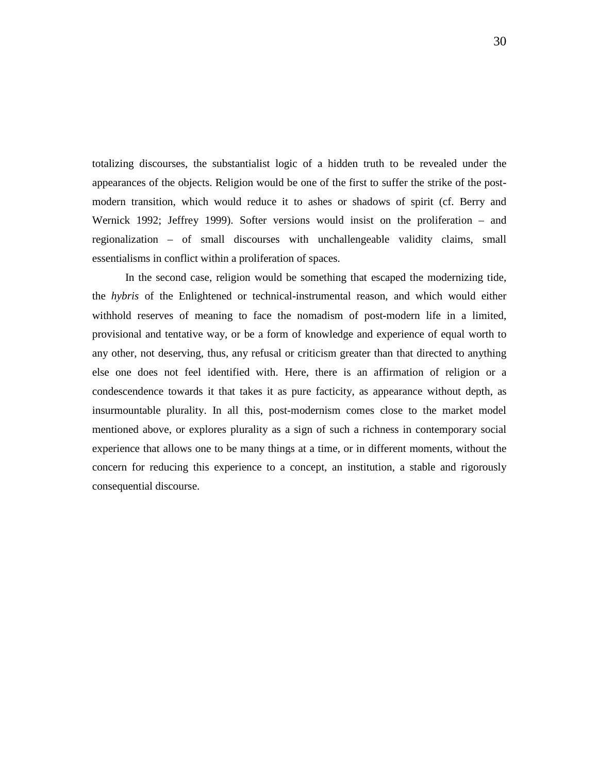totalizing discourses, the substantialist logic of a hidden truth to be revealed under the appearances of the objects. Religion would be one of the first to suffer the strike of the postmodern transition, which would reduce it to ashes or shadows of spirit (cf. Berry and Wernick 1992; Jeffrey 1999). Softer versions would insist on the proliferation – and regionalization – of small discourses with unchallengeable validity claims, small essentialisms in conflict within a proliferation of spaces.

In the second case, religion would be something that escaped the modernizing tide, the *hybris* of the Enlightened or technical-instrumental reason, and which would either withhold reserves of meaning to face the nomadism of post-modern life in a limited, provisional and tentative way, or be a form of knowledge and experience of equal worth to any other, not deserving, thus, any refusal or criticism greater than that directed to anything else one does not feel identified with. Here, there is an affirmation of religion or a condescendence towards it that takes it as pure facticity, as appearance without depth, as insurmountable plurality. In all this, post-modernism comes close to the market model mentioned above, or explores plurality as a sign of such a richness in contemporary social experience that allows one to be many things at a time, or in different moments, without the concern for reducing this experience to a concept, an institution, a stable and rigorously consequential discourse.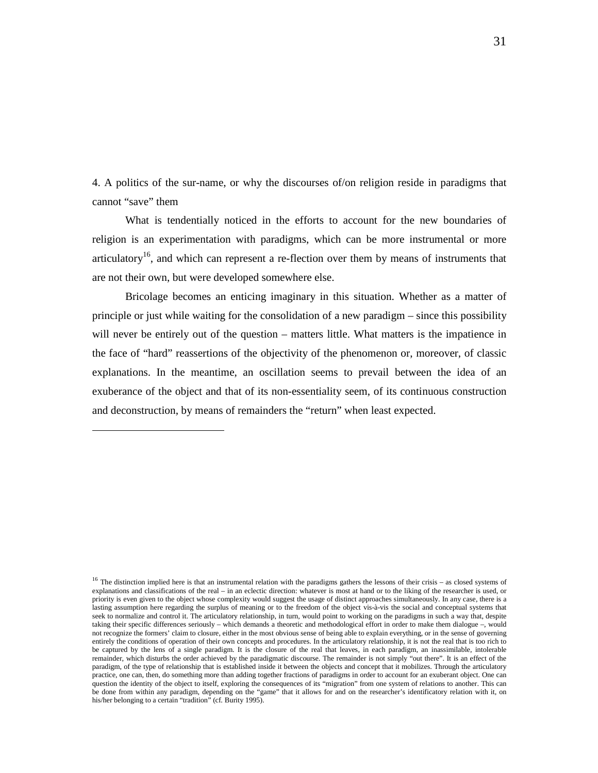4. A politics of the sur-name, or why the discourses of/on religion reside in paradigms that cannot "save" them

What is tendentially noticed in the efforts to account for the new boundaries of religion is an experimentation with paradigms, which can be more instrumental or more articulatory<sup>16</sup>, and which can represent a re-flection over them by means of instruments that are not their own, but were developed somewhere else.

Bricolage becomes an enticing imaginary in this situation. Whether as a matter of principle or just while waiting for the consolidation of a new paradigm – since this possibility will never be entirely out of the question – matters little. What matters is the impatience in the face of "hard" reassertions of the objectivity of the phenomenon or, moreover, of classic explanations. In the meantime, an oscillation seems to prevail between the idea of an exuberance of the object and that of its non-essentiality seem, of its continuous construction and deconstruction, by means of remainders the "return" when least expected.

<sup>&</sup>lt;sup>16</sup> The distinction implied here is that an instrumental relation with the paradigms gathers the lessons of their crisis – as closed systems of explanations and classifications of the real – in an eclectic direction: whatever is most at hand or to the liking of the researcher is used, or priority is even given to the object whose complexity would suggest the usage of distinct approaches simultaneously. In any case, there is a lasting assumption here regarding the surplus of meaning or to the freedom of the object vis-à-vis the social and conceptual systems that seek to normalize and control it. The articulatory relationship, in turn, would point to working on the paradigms in such a way that, despite taking their specific differences seriously – which demands a theoretic and methodological effort in order to make them dialogue –, would not recognize the formers' claim to closure, either in the most obvious sense of being able to explain everything, or in the sense of governing entirely the conditions of operation of their own concepts and procedures. In the articulatory relationship, it is not the real that is too rich to be captured by the lens of a single paradigm. It is the closure of the real that leaves, in each paradigm, an inassimilable, intolerable remainder, which disturbs the order achieved by the paradigmatic discourse. The remainder is not simply "out there". It is an effect of the paradigm, of the type of relationship that is established inside it between the objects and concept that it mobilizes. Through the articulatory practice, one can, then, do something more than adding together fractions of paradigms in order to account for an exuberant object. One can question the identity of the object to itself, exploring the consequences of its "migration" from one system of relations to another. This can be done from within any paradigm, depending on the "game" that it allows for and on the researcher's identificatory relation with it, on his/her belonging to a certain "tradition" (cf. Burity 1995).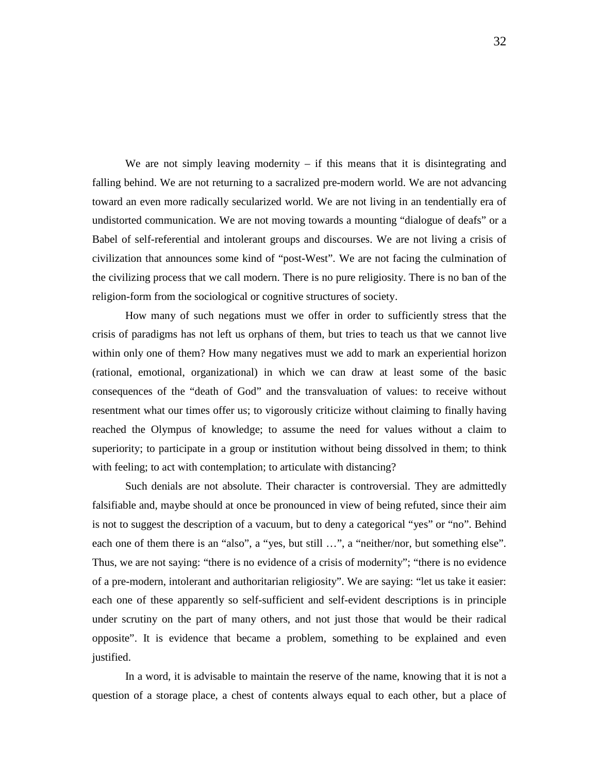We are not simply leaving modernity  $-$  if this means that it is disintegrating and falling behind. We are not returning to a sacralized pre-modern world. We are not advancing toward an even more radically secularized world. We are not living in an tendentially era of undistorted communication. We are not moving towards a mounting "dialogue of deafs" or a Babel of self-referential and intolerant groups and discourses. We are not living a crisis of civilization that announces some kind of "post-West". We are not facing the culmination of the civilizing process that we call modern. There is no pure religiosity. There is no ban of the religion-form from the sociological or cognitive structures of society.

How many of such negations must we offer in order to sufficiently stress that the crisis of paradigms has not left us orphans of them, but tries to teach us that we cannot live within only one of them? How many negatives must we add to mark an experiential horizon (rational, emotional, organizational) in which we can draw at least some of the basic consequences of the "death of God" and the transvaluation of values: to receive without resentment what our times offer us; to vigorously criticize without claiming to finally having reached the Olympus of knowledge; to assume the need for values without a claim to superiority; to participate in a group or institution without being dissolved in them; to think with feeling; to act with contemplation; to articulate with distancing?

Such denials are not absolute. Their character is controversial. They are admittedly falsifiable and, maybe should at once be pronounced in view of being refuted, since their aim is not to suggest the description of a vacuum, but to deny a categorical "yes" or "no". Behind each one of them there is an "also", a "yes, but still ...", a "neither/nor, but something else". Thus, we are not saying: "there is no evidence of a crisis of modernity"; "there is no evidence of a pre-modern, intolerant and authoritarian religiosity". We are saying: "let us take it easier: each one of these apparently so self-sufficient and self-evident descriptions is in principle under scrutiny on the part of many others, and not just those that would be their radical opposite". It is evidence that became a problem, something to be explained and even justified.

In a word, it is advisable to maintain the reserve of the name, knowing that it is not a question of a storage place, a chest of contents always equal to each other, but a place of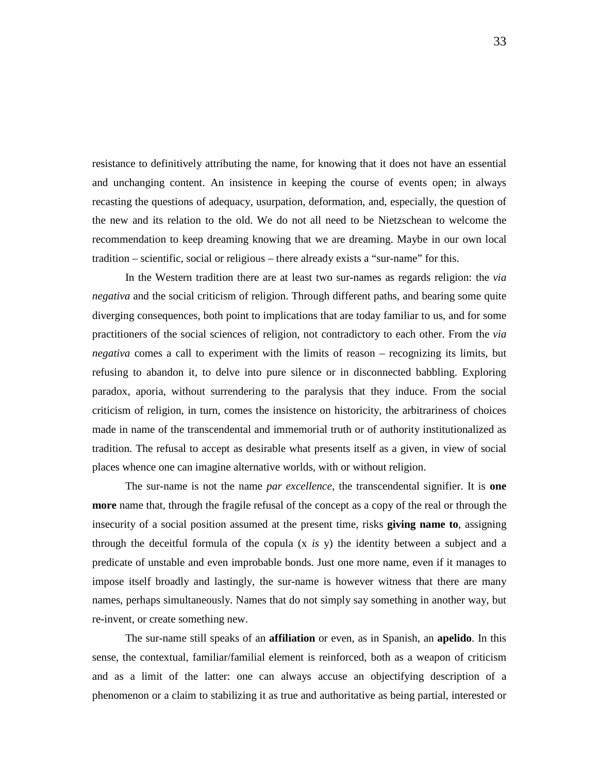resistance to definitively attributing the name, for knowing that it does not have an essential and unchanging content. An insistence in keeping the course of events open; in always recasting the questions of adequacy, usurpation, deformation, and, especially, the question of the new and its relation to the old. We do not all need to be Nietzschean to welcome the recommendation to keep dreaming knowing that we are dreaming. Maybe in our own local tradition – scientific, social or religious – there already exists a "sur-name" for this.

In the Western tradition there are at least two sur-names as regards religion: the *via negativa* and the social criticism of religion. Through different paths, and bearing some quite diverging consequences, both point to implications that are today familiar to us, and for some practitioners of the social sciences of religion, not contradictory to each other. From the *via negativa* comes a call to experiment with the limits of reason – recognizing its limits, but refusing to abandon it, to delve into pure silence or in disconnected babbling. Exploring paradox, aporia, without surrendering to the paralysis that they induce. From the social criticism of religion, in turn, comes the insistence on historicity, the arbitrariness of choices made in name of the transcendental and immemorial truth or of authority institutionalized as tradition. The refusal to accept as desirable what presents itself as a given, in view of social places whence one can imagine alternative worlds, with or without religion.

The sur-name is not the name *par excellence*, the transcendental signifier. It is **one more** name that, through the fragile refusal of the concept as a copy of the real or through the insecurity of a social position assumed at the present time, risks **giving name to**, assigning through the deceitful formula of the copula (x *is* y) the identity between a subject and a predicate of unstable and even improbable bonds. Just one more name, even if it manages to impose itself broadly and lastingly, the sur-name is however witness that there are many names, perhaps simultaneously. Names that do not simply say something in another way, but re-invent, or create something new.

The sur-name still speaks of an **affiliation** or even, as in Spanish, an **apelido**. In this sense, the contextual, familiar/familial element is reinforced, both as a weapon of criticism and as a limit of the latter: one can always accuse an objectifying description of a phenomenon or a claim to stabilizing it as true and authoritative as being partial, interested or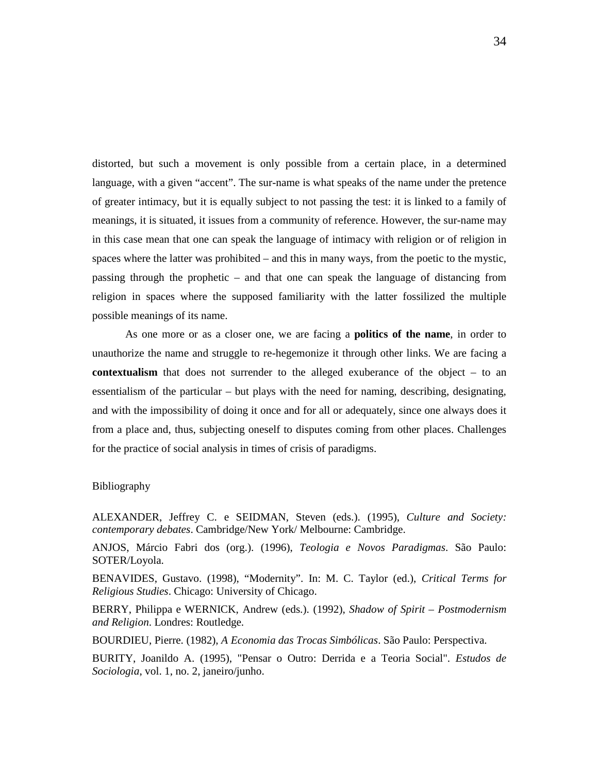distorted, but such a movement is only possible from a certain place, in a determined language, with a given "accent". The sur-name is what speaks of the name under the pretence of greater intimacy, but it is equally subject to not passing the test: it is linked to a family of meanings, it is situated, it issues from a community of reference. However, the sur-name may in this case mean that one can speak the language of intimacy with religion or of religion in spaces where the latter was prohibited – and this in many ways, from the poetic to the mystic, passing through the prophetic – and that one can speak the language of distancing from religion in spaces where the supposed familiarity with the latter fossilized the multiple possible meanings of its name.

As one more or as a closer one, we are facing a **politics of the name**, in order to unauthorize the name and struggle to re-hegemonize it through other links. We are facing a **contextualism** that does not surrender to the alleged exuberance of the object – to an essentialism of the particular – but plays with the need for naming, describing, designating, and with the impossibility of doing it once and for all or adequately, since one always does it from a place and, thus, subjecting oneself to disputes coming from other places. Challenges for the practice of social analysis in times of crisis of paradigms.

#### Bibliography

ALEXANDER, Jeffrey C. e SEIDMAN, Steven (eds.). (1995), *Culture and Society: contemporary debates*. Cambridge/New York/ Melbourne: Cambridge.

ANJOS, Márcio Fabri dos (org.). (1996), *Teologia e Novos Paradigmas*. São Paulo: SOTER/Loyola.

BENAVIDES, Gustavo. (1998), "Modernity". In: M. C. Taylor (ed.), *Critical Terms for Religious Studies*. Chicago: University of Chicago.

BERRY, Philippa e WERNICK, Andrew (eds.). (1992), *Shadow of Spirit – Postmodernism and Religion*. Londres: Routledge.

BOURDIEU, Pierre. (1982), *A Economia das Trocas Simbólicas*. São Paulo: Perspectiva.

BURITY, Joanildo A. (1995), "Pensar o Outro: Derrida e a Teoria Social". *Estudos de Sociologia*, vol. 1, no. 2, janeiro/junho.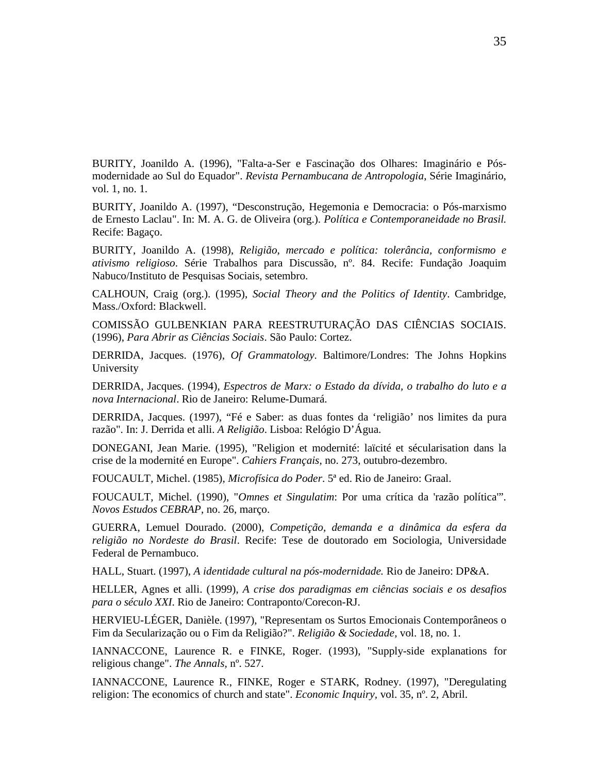BURITY, Joanildo A. (1996), "Falta-a-Ser e Fascinação dos Olhares: Imaginário e Pósmodernidade ao Sul do Equador". *Revista Pernambucana de Antropologia*, Série Imaginário, vol. 1, no. 1.

BURITY, Joanildo A. (1997), "Desconstrução, Hegemonia e Democracia: o Pós-marxismo de Ernesto Laclau". In: M. A. G. de Oliveira (org.). *Política e Contemporaneidade no Brasil.*  Recife: Bagaço.

BURITY, Joanildo A. (1998), *Religião, mercado e política: tolerância, conformismo e ativismo religioso*. Série Trabalhos para Discussão, nº. 84. Recife: Fundação Joaquim Nabuco/Instituto de Pesquisas Sociais, setembro.

CALHOUN, Craig (org.). (1995), *Social Theory and the Politics of Identity*. Cambridge, Mass./Oxford: Blackwell.

COMISSÃO GULBENKIAN PARA REESTRUTURAÇÃO DAS CIÊNCIAS SOCIAIS. (1996), *Para Abrir as Ciências Sociais*. São Paulo: Cortez.

DERRIDA, Jacques. (1976), *Of Grammatology*. Baltimore/Londres: The Johns Hopkins University

DERRIDA, Jacques. (1994), *Espectros de Marx: o Estado da dívida, o trabalho do luto e a nova Internacional*. Rio de Janeiro: Relume-Dumará.

DERRIDA, Jacques. (1997), "Fé e Saber: as duas fontes da 'religião' nos limites da pura razão". In: J. Derrida et alli. *A Religião*. Lisboa: Relógio D'Água.

DONEGANI, Jean Marie. (1995), "Religion et modernité: laïcité et sécularisation dans la crise de la modernité en Europe". *Cahiers Français*, no. 273, outubro-dezembro.

FOUCAULT, Michel. (1985), *Microfísica do Poder*. 5ª ed. Rio de Janeiro: Graal.

FOUCAULT, Michel. (1990), "*Omnes et Singulatim*: Por uma crítica da 'razão política'". *Novos Estudos CEBRAP*, no. 26, março.

GUERRA, Lemuel Dourado. (2000), *Competição, demanda e a dinâmica da esfera da religião no Nordeste do Brasil*. Recife: Tese de doutorado em Sociologia, Universidade Federal de Pernambuco.

HALL, Stuart. (1997), *A identidade cultural na pós-modernidade.* Rio de Janeiro: DP&A.

HELLER, Agnes et alli. (1999), *A crise dos paradigmas em ciências sociais e os desafios para o século XXI*. Rio de Janeiro: Contraponto/Corecon-RJ.

HERVIEU-LÉGER, Danièle. (1997), "Representam os Surtos Emocionais Contemporâneos o Fim da Secularização ou o Fim da Religião?". *Religião & Sociedade*, vol. 18, no. 1.

IANNACCONE, Laurence R. e FINKE, Roger. (1993), "Supply-side explanations for religious change". *The Annals,* nº. 527.

IANNACCONE, Laurence R., FINKE, Roger e STARK, Rodney. (1997), "Deregulating religion: The economics of church and state". *Economic Inquiry,* vol. 35, nº. 2, Abril.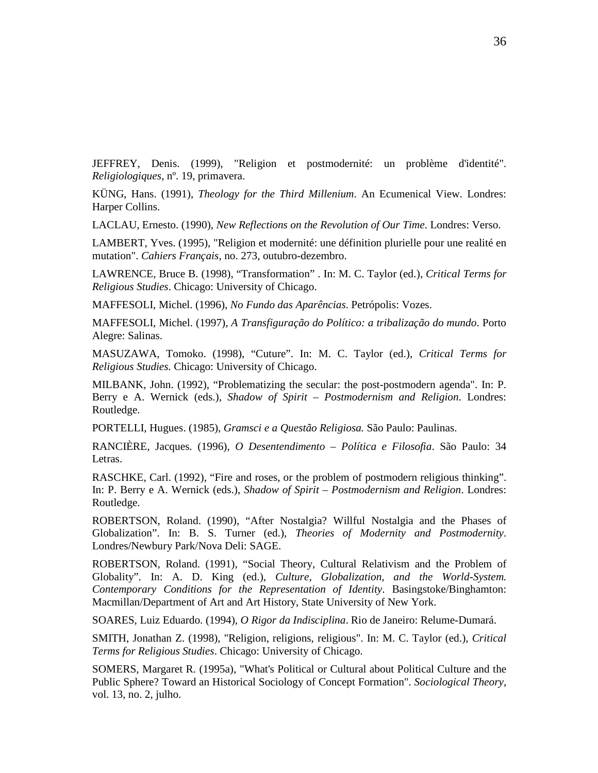JEFFREY, Denis. (1999), "Religion et postmodernité: un problème d'identité". *Religiologiques*, nº. 19, primavera.

KÜNG, Hans. (1991), *Theology for the Third Millenium*. An Ecumenical View. Londres: Harper Collins.

LACLAU, Ernesto. (1990), *New Reflections on the Revolution of Our Time*. Londres: Verso.

LAMBERT, Yves. (1995), "Religion et modernité: une définition plurielle pour une realité en mutation". *Cahiers Français*, no. 273, outubro-dezembro.

LAWRENCE, Bruce B. (1998), "Transformation" . In: M. C. Taylor (ed.), *Critical Terms for Religious Studies*. Chicago: University of Chicago.

MAFFESOLI, Michel. (1996), *No Fundo das Aparências*. Petrópolis: Vozes.

MAFFESOLI, Michel. (1997), *A Transfiguração do Político: a tribalização do mundo*. Porto Alegre: Salinas.

MASUZAWA, Tomoko. (1998), "Cuture". In: M. C. Taylor (ed.), *Critical Terms for Religious Studies.* Chicago: University of Chicago.

MILBANK, John. (1992), "Problematizing the secular: the post-postmodern agenda". In: P. Berry e A. Wernick (eds.), *Shadow of Spirit – Postmodernism and Religion*. Londres: Routledge.

PORTELLI, Hugues. (1985), *Gramsci e a Questão Religiosa.* São Paulo: Paulinas.

RANCIÈRE, Jacques. (1996), *O Desentendimento – Política e Filosofia*. São Paulo: 34 Letras.

RASCHKE, Carl. (1992), "Fire and roses, or the problem of postmodern religious thinking". In: P. Berry e A. Wernick (eds.), *Shadow of Spirit – Postmodernism and Religion*. Londres: Routledge.

ROBERTSON, Roland. (1990), "After Nostalgia? Willful Nostalgia and the Phases of Globalization". In: B. S. Turner (ed.), *Theories of Modernity and Postmodernity*. Londres/Newbury Park/Nova Deli: SAGE.

ROBERTSON, Roland. (1991), "Social Theory, Cultural Relativism and the Problem of Globality". In: A. D. King (ed.), *Culture, Globalization, and the World-System. Contemporary Conditions for the Representation of Identity*. Basingstoke/Binghamton: Macmillan/Department of Art and Art History, State University of New York.

SOARES, Luiz Eduardo. (1994), *O Rigor da Indisciplina*. Rio de Janeiro: Relume-Dumará.

SMITH, Jonathan Z. (1998), "Religion, religions, religious". In: M. C. Taylor (ed.), *Critical Terms for Religious Studies*. Chicago: University of Chicago.

SOMERS, Margaret R. (1995a), "What's Political or Cultural about Political Culture and the Public Sphere? Toward an Historical Sociology of Concept Formation". *Sociological Theory*, vol. 13, no. 2, julho.